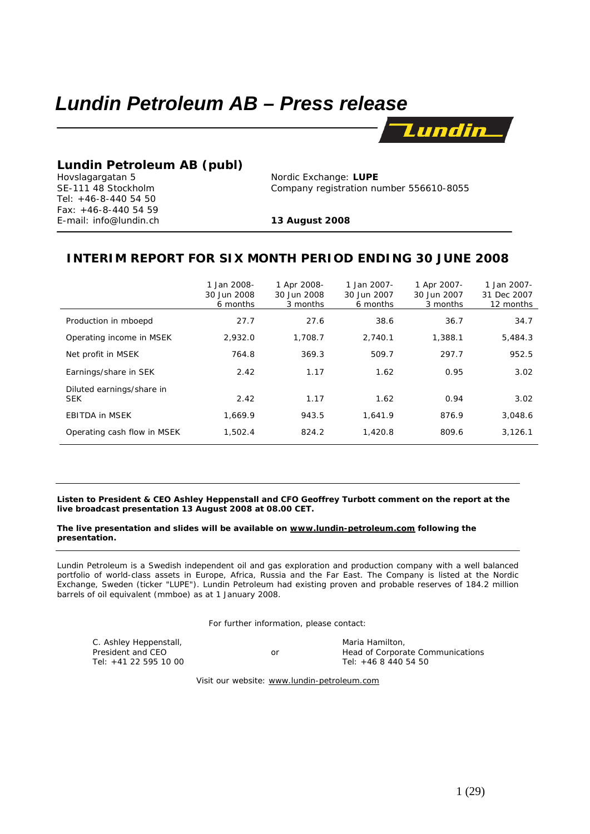# *Lundin Petroleum AB – Press release*



# **Lundin Petroleum AB (publ)**<br>
Hovslagargatan 5 **Nordic Exchange: LUPE**

Tel: +46-8-440 54 50 Fax: +46-8-440 54 59 E-mail: info@lundin.ch **13 August 2008**

-

SE-111 48 Stockholm Company registration number 556610-8055

# **INTERIM REPORT FOR SIX MONTH PERIOD ENDING 30 JUNE 2008**

|                                         | 1 Jan 2008-<br>30 Jun 2008<br>6 months | 1 Apr 2008-<br>30 Jun 2008<br>3 months | 1 Jan 2007-<br>30 Jun 2007<br>6 months | 1 Apr 2007-<br>30 Jun 2007<br>3 months | 1 Jan 2007-<br>31 Dec 2007<br>12 months |
|-----------------------------------------|----------------------------------------|----------------------------------------|----------------------------------------|----------------------------------------|-----------------------------------------|
| Production in mboepd                    | 27.7                                   | 27.6                                   | 38.6                                   | 36.7                                   | 34.7                                    |
| Operating income in MSEK                | 2,932.0                                | 1,708.7                                | 2.740.1                                | 1,388.1                                | 5,484.3                                 |
| Net profit in MSEK                      | 764.8                                  | 369.3                                  | 509.7                                  | 297.7                                  | 952.5                                   |
| Earnings/share in SEK                   | 2.42                                   | 1.17                                   | 1.62                                   | 0.95                                   | 3.02                                    |
| Diluted earnings/share in<br><b>SEK</b> | 2.42                                   | 1.17                                   | 1.62                                   | 0.94                                   | 3.02                                    |
| <b>EBITDA in MSEK</b>                   | 1.669.9                                | 943.5                                  | 1.641.9                                | 876.9                                  | 3,048.6                                 |
| Operating cash flow in MSEK             | 1,502.4                                | 824.2                                  | 1,420.8                                | 809.6                                  | 3,126.1                                 |

**Listen to President & CEO Ashley Heppenstall and CFO Geoffrey Turbott comment on the report at the live broadcast presentation 13 August 2008 at 08.00 CET.** 

# **The live presentation and slides will be available on www.lundin-petroleum.com following the presentation.**

*Lundin Petroleum is a Swedish independent oil and gas exploration and production company with a well balanced*  portfolio of world-class assets in Europe, Africa, Russia and the Far East. The Company is listed at the Nordic *Exchange, Sweden (ticker "LUPE"). Lundin Petroleum had existing proven and probable reserves of 184.2 million barrels of oil equivalent (mmboe) as at 1 January 2008.* 

For further information, please contact:

| C. Ashley Heppenstall, |    | Maria Hamilton.                  |
|------------------------|----|----------------------------------|
| President and CEO      | or | Head of Corporate Communications |
| Tel: +41 22 595 10 00  |    | Tel: +46 8 440 54 50             |

Visit our website: www.lundin-petroleum.com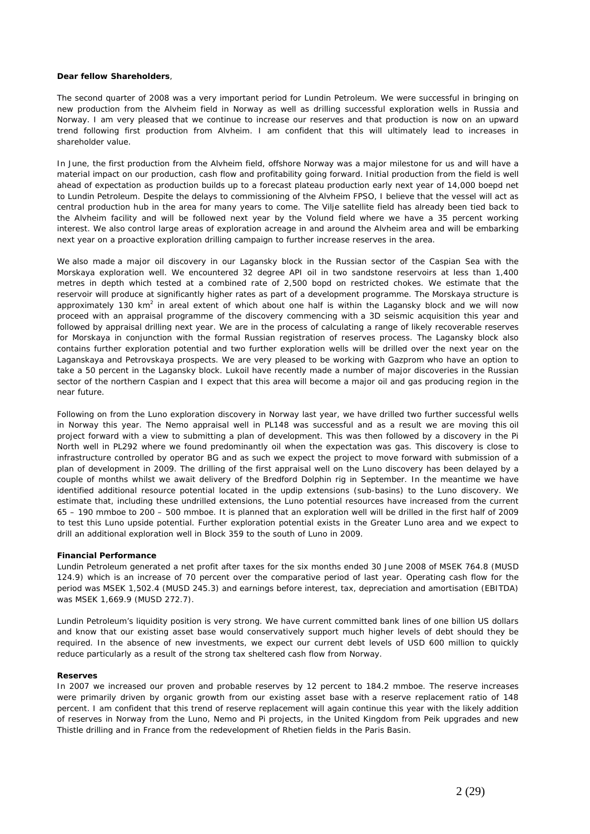#### **Dear fellow Shareholders**,

The second quarter of 2008 was a very important period for Lundin Petroleum. We were successful in bringing on new production from the Alvheim field in Norway as well as drilling successful exploration wells in Russia and Norway. I am very pleased that we continue to increase our reserves and that production is now on an upward trend following first production from Alvheim. I am confident that this will ultimately lead to increases in shareholder value.

In June, the first production from the Alvheim field, offshore Norway was a major milestone for us and will have a material impact on our production, cash flow and profitability going forward. Initial production from the field is well ahead of expectation as production builds up to a forecast plateau production early next year of 14,000 boepd net to Lundin Petroleum. Despite the delays to commissioning of the Alvheim FPSO, I believe that the vessel will act as central production hub in the area for many years to come. The Vilje satellite field has already been tied back to the Alvheim facility and will be followed next year by the Volund field where we have a 35 percent working interest. We also control large areas of exploration acreage in and around the Alvheim area and will be embarking next year on a proactive exploration drilling campaign to further increase reserves in the area.

We also made a major oil discovery in our Lagansky block in the Russian sector of the Caspian Sea with the Morskaya exploration well. We encountered 32 degree API oil in two sandstone reservoirs at less than 1,400 metres in depth which tested at a combined rate of 2,500 bopd on restricted chokes. We estimate that the reservoir will produce at significantly higher rates as part of a development programme. The Morskaya structure is approximately 130 km<sup>2</sup> in areal extent of which about one half is within the Lagansky block and we will now proceed with an appraisal programme of the discovery commencing with a 3D seismic acquisition this year and followed by appraisal drilling next year. We are in the process of calculating a range of likely recoverable reserves for Morskaya in conjunction with the formal Russian registration of reserves process. The Lagansky block also contains further exploration potential and two further exploration wells will be drilled over the next year on the Laganskaya and Petrovskaya prospects. We are very pleased to be working with Gazprom who have an option to take a 50 percent in the Lagansky block. Lukoil have recently made a number of major discoveries in the Russian sector of the northern Caspian and I expect that this area will become a major oil and gas producing region in the near future.

Following on from the Luno exploration discovery in Norway last year, we have drilled two further successful wells in Norway this year. The Nemo appraisal well in PL148 was successful and as a result we are moving this oil project forward with a view to submitting a plan of development. This was then followed by a discovery in the Pi North well in PL292 where we found predominantly oil when the expectation was gas. This discovery is close to infrastructure controlled by operator BG and as such we expect the project to move forward with submission of a plan of development in 2009. The drilling of the first appraisal well on the Luno discovery has been delayed by a couple of months whilst we await delivery of the Bredford Dolphin rig in September. In the meantime we have identified additional resource potential located in the updip extensions (sub-basins) to the Luno discovery. We estimate that, including these undrilled extensions, the Luno potential resources have increased from the current 65 – 190 mmboe to 200 – 500 mmboe. It is planned that an exploration well will be drilled in the first half of 2009 to test this Luno upside potential. Further exploration potential exists in the Greater Luno area and we expect to drill an additional exploration well in Block 359 to the south of Luno in 2009.

#### **Financial Performance**

Lundin Petroleum generated a net profit after taxes for the six months ended 30 June 2008 of MSEK 764.8 (MUSD 124.9) which is an increase of 70 percent over the comparative period of last year. Operating cash flow for the period was MSEK 1,502.4 (MUSD 245.3) and earnings before interest, tax, depreciation and amortisation (EBITDA) was MSEK 1,669.9 (MUSD 272.7).

Lundin Petroleum's liquidity position is very strong. We have current committed bank lines of one billion US dollars and know that our existing asset base would conservatively support much higher levels of debt should they be required. In the absence of new investments, we expect our current debt levels of USD 600 million to quickly reduce particularly as a result of the strong tax sheltered cash flow from Norway.

#### **Reserves**

In 2007 we increased our proven and probable reserves by 12 percent to 184.2 mmboe. The reserve increases were primarily driven by organic growth from our existing asset base with a reserve replacement ratio of 148 percent. I am confident that this trend of reserve replacement will again continue this year with the likely addition of reserves in Norway from the Luno, Nemo and Pi projects, in the United Kingdom from Peik upgrades and new Thistle drilling and in France from the redevelopment of Rhetien fields in the Paris Basin.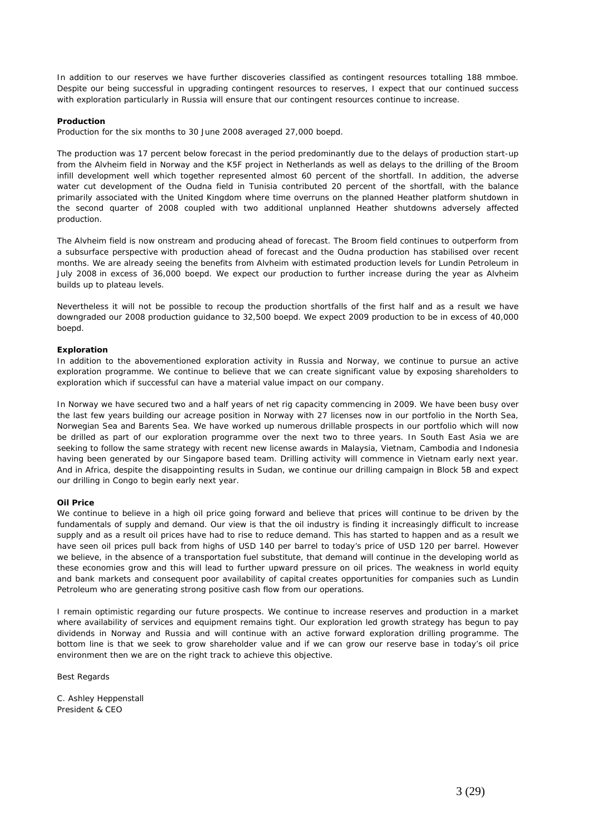In addition to our reserves we have further discoveries classified as contingent resources totalling 188 mmboe. Despite our being successful in upgrading contingent resources to reserves, I expect that our continued success with exploration particularly in Russia will ensure that our contingent resources continue to increase.

# **Production**

Production for the six months to 30 June 2008 averaged 27,000 boepd.

The production was 17 percent below forecast in the period predominantly due to the delays of production start-up from the Alvheim field in Norway and the K5F project in Netherlands as well as delays to the drilling of the Broom infill development well which together represented almost 60 percent of the shortfall. In addition, the adverse water cut development of the Oudna field in Tunisia contributed 20 percent of the shortfall, with the balance primarily associated with the United Kingdom where time overruns on the planned Heather platform shutdown in the second quarter of 2008 coupled with two additional unplanned Heather shutdowns adversely affected production.

The Alvheim field is now onstream and producing ahead of forecast. The Broom field continues to outperform from a subsurface perspective with production ahead of forecast and the Oudna production has stabilised over recent months. We are already seeing the benefits from Alvheim with estimated production levels for Lundin Petroleum in July 2008 in excess of 36,000 boepd. We expect our production to further increase during the year as Alvheim builds up to plateau levels.

Nevertheless it will not be possible to recoup the production shortfalls of the first half and as a result we have downgraded our 2008 production guidance to 32,500 boepd. We expect 2009 production to be in excess of 40,000 boepd.

#### **Exploration**

In addition to the abovementioned exploration activity in Russia and Norway, we continue to pursue an active exploration programme. We continue to believe that we can create significant value by exposing shareholders to exploration which if successful can have a material value impact on our company.

In Norway we have secured two and a half years of net rig capacity commencing in 2009. We have been busy over the last few years building our acreage position in Norway with 27 licenses now in our portfolio in the North Sea, Norwegian Sea and Barents Sea. We have worked up numerous drillable prospects in our portfolio which will now be drilled as part of our exploration programme over the next two to three years. In South East Asia we are seeking to follow the same strategy with recent new license awards in Malaysia, Vietnam, Cambodia and Indonesia having been generated by our Singapore based team. Drilling activity will commence in Vietnam early next year. And in Africa, despite the disappointing results in Sudan, we continue our drilling campaign in Block 5B and expect our drilling in Congo to begin early next year.

# **Oil Price**

We continue to believe in a high oil price going forward and believe that prices will continue to be driven by the fundamentals of supply and demand. Our view is that the oil industry is finding it increasingly difficult to increase supply and as a result oil prices have had to rise to reduce demand. This has started to happen and as a result we have seen oil prices pull back from highs of USD 140 per barrel to today's price of USD 120 per barrel. However we believe, in the absence of a transportation fuel substitute, that demand will continue in the developing world as these economies grow and this will lead to further upward pressure on oil prices. The weakness in world equity and bank markets and consequent poor availability of capital creates opportunities for companies such as Lundin Petroleum who are generating strong positive cash flow from our operations.

I remain optimistic regarding our future prospects. We continue to increase reserves and production in a market where availability of services and equipment remains tight. Our exploration led growth strategy has begun to pay dividends in Norway and Russia and will continue with an active forward exploration drilling programme. The bottom line is that we seek to grow shareholder value and if we can grow our reserve base in today's oil price environment then we are on the right track to achieve this objective.

Best Regards

C. Ashley Heppenstall President & CEO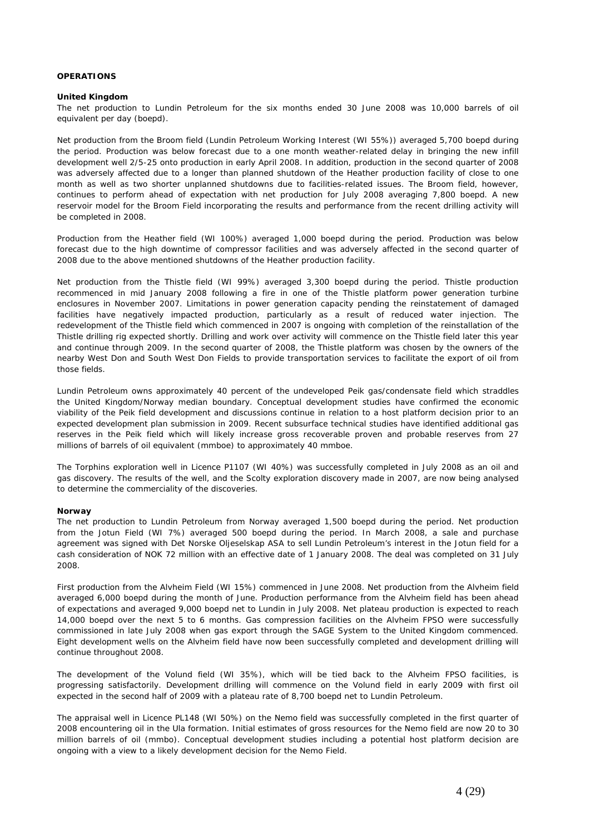# **OPERATIONS**

### **United Kingdom**

The net production to Lundin Petroleum for the six months ended 30 June 2008 was 10,000 barrels of oil equivalent per day (boepd).

Net production from the Broom field (Lundin Petroleum Working Interest (WI 55%)) averaged 5,700 boepd during the period. Production was below forecast due to a one month weather-related delay in bringing the new infill development well 2/5-25 onto production in early April 2008. In addition, production in the second quarter of 2008 was adversely affected due to a longer than planned shutdown of the Heather production facility of close to one month as well as two shorter unplanned shutdowns due to facilities-related issues. The Broom field, however, continues to perform ahead of expectation with net production for July 2008 averaging 7,800 boepd. A new reservoir model for the Broom Field incorporating the results and performance from the recent drilling activity will be completed in 2008.

Production from the Heather field (WI 100%) averaged 1,000 boepd during the period. Production was below forecast due to the high downtime of compressor facilities and was adversely affected in the second quarter of 2008 due to the above mentioned shutdowns of the Heather production facility.

Net production from the Thistle field (WI 99%) averaged 3,300 boepd during the period. Thistle production recommenced in mid January 2008 following a fire in one of the Thistle platform power generation turbine enclosures in November 2007. Limitations in power generation capacity pending the reinstatement of damaged facilities have negatively impacted production, particularly as a result of reduced water injection. The redevelopment of the Thistle field which commenced in 2007 is ongoing with completion of the reinstallation of the Thistle drilling rig expected shortly. Drilling and work over activity will commence on the Thistle field later this year and continue through 2009. In the second quarter of 2008, the Thistle platform was chosen by the owners of the nearby West Don and South West Don Fields to provide transportation services to facilitate the export of oil from those fields.

Lundin Petroleum owns approximately 40 percent of the undeveloped Peik gas/condensate field which straddles the United Kingdom/Norway median boundary. Conceptual development studies have confirmed the economic viability of the Peik field development and discussions continue in relation to a host platform decision prior to an expected development plan submission in 2009. Recent subsurface technical studies have identified additional gas reserves in the Peik field which will likely increase gross recoverable proven and probable reserves from 27 millions of barrels of oil equivalent (mmboe) to approximately 40 mmboe.

The Torphins exploration well in Licence P1107 (WI 40%) was successfully completed in July 2008 as an oil and gas discovery. The results of the well, and the Scolty exploration discovery made in 2007, are now being analysed to determine the commerciality of the discoveries.

# **Norway**

The net production to Lundin Petroleum from Norway averaged 1,500 boepd during the period. Net production from the Jotun Field (WI 7%) averaged 500 boepd during the period. In March 2008, a sale and purchase agreement was signed with Det Norske Oljeselskap ASA to sell Lundin Petroleum's interest in the Jotun field for a cash consideration of NOK 72 million with an effective date of 1 January 2008. The deal was completed on 31 July 2008.

First production from the Alvheim Field (WI 15%) commenced in June 2008. Net production from the Alvheim field averaged 6,000 boepd during the month of June. Production performance from the Alvheim field has been ahead of expectations and averaged 9,000 boepd net to Lundin in July 2008. Net plateau production is expected to reach 14,000 boepd over the next 5 to 6 months. Gas compression facilities on the Alvheim FPSO were successfully commissioned in late July 2008 when gas export through the SAGE System to the United Kingdom commenced. Eight development wells on the Alvheim field have now been successfully completed and development drilling will continue throughout 2008.

The development of the Volund field (WI 35%), which will be tied back to the Alvheim FPSO facilities, is progressing satisfactorily. Development drilling will commence on the Volund field in early 2009 with first oil expected in the second half of 2009 with a plateau rate of 8,700 boepd net to Lundin Petroleum.

The appraisal well in Licence PL148 (WI 50%) on the Nemo field was successfully completed in the first quarter of 2008 encountering oil in the Ula formation. Initial estimates of gross resources for the Nemo field are now 20 to 30 million barrels of oil (mmbo). Conceptual development studies including a potential host platform decision are ongoing with a view to a likely development decision for the Nemo Field.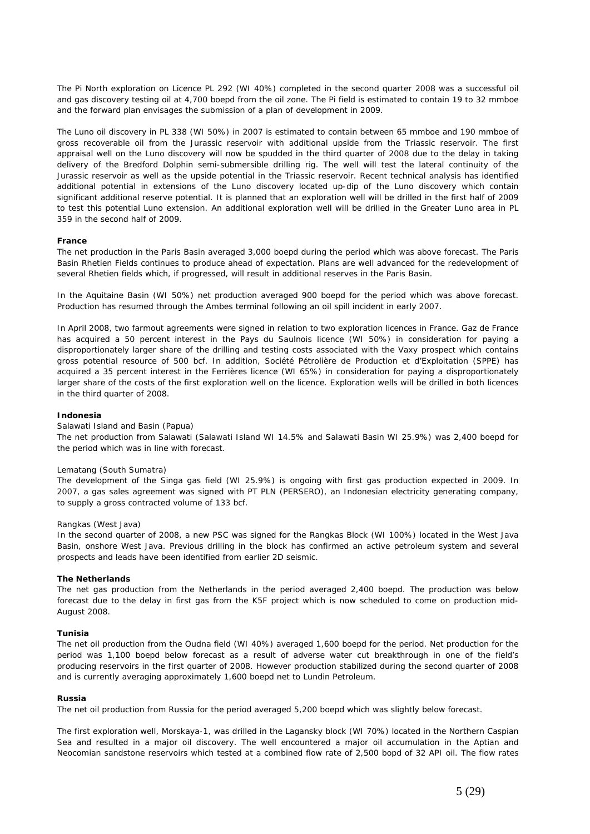The Pi North exploration on Licence PL 292 (WI 40%) completed in the second quarter 2008 was a successful oil and gas discovery testing oil at 4,700 boepd from the oil zone. The Pi field is estimated to contain 19 to 32 mmboe and the forward plan envisages the submission of a plan of development in 2009.

The Luno oil discovery in PL 338 (WI 50%) in 2007 is estimated to contain between 65 mmboe and 190 mmboe of gross recoverable oil from the Jurassic reservoir with additional upside from the Triassic reservoir. The first appraisal well on the Luno discovery will now be spudded in the third quarter of 2008 due to the delay in taking delivery of the Bredford Dolphin semi-submersible drilling rig. The well will test the lateral continuity of the Jurassic reservoir as well as the upside potential in the Triassic reservoir. Recent technical analysis has identified additional potential in extensions of the Luno discovery located up-dip of the Luno discovery which contain significant additional reserve potential. It is planned that an exploration well will be drilled in the first half of 2009 to test this potential Luno extension. An additional exploration well will be drilled in the Greater Luno area in PL 359 in the second half of 2009.

# **France**

The net production in the Paris Basin averaged 3,000 boepd during the period which was above forecast. The Paris Basin Rhetien Fields continues to produce ahead of expectation. Plans are well advanced for the redevelopment of several Rhetien fields which, if progressed, will result in additional reserves in the Paris Basin.

In the Aquitaine Basin (WI 50%) net production averaged 900 boepd for the period which was above forecast. Production has resumed through the Ambes terminal following an oil spill incident in early 2007.

In April 2008, two farmout agreements were signed in relation to two exploration licences in France. Gaz de France has acquired a 50 percent interest in the Pays du Saulnois licence (WI 50%) in consideration for paying a disproportionately larger share of the drilling and testing costs associated with the Vaxy prospect which contains gross potential resource of 500 bcf. In addition, Société Pétrolière de Production et d'Exploitation (SPPE) has acquired a 35 percent interest in the Ferrières licence (WI 65%) in consideration for paying a disproportionately larger share of the costs of the first exploration well on the licence. Exploration wells will be drilled in both licences in the third quarter of 2008.

# **Indonesia**

#### *Salawati Island and Basin (Papua)*

The net production from Salawati (Salawati Island WI 14.5% and Salawati Basin WI 25.9%) was 2,400 boepd for the period which was in line with forecast.

#### *Lematang (South Sumatra)*

The development of the Singa gas field (WI 25.9%) is ongoing with first gas production expected in 2009. In 2007, a gas sales agreement was signed with PT PLN (PERSERO), an Indonesian electricity generating company, to supply a gross contracted volume of 133 bcf.

#### *Rangkas (West Java)*

In the second quarter of 2008, a new PSC was signed for the Rangkas Block (WI 100%) located in the West Java Basin, onshore West Java. Previous drilling in the block has confirmed an active petroleum system and several prospects and leads have been identified from earlier 2D seismic.

#### **The Netherlands**

The net gas production from the Netherlands in the period averaged 2,400 boepd. The production was below forecast due to the delay in first gas from the K5F project which is now scheduled to come on production mid-August 2008.

# **Tunisia**

The net oil production from the Oudna field (WI 40%) averaged 1,600 boepd for the period. Net production for the period was 1,100 boepd below forecast as a result of adverse water cut breakthrough in one of the field's producing reservoirs in the first quarter of 2008. However production stabilized during the second quarter of 2008 and is currently averaging approximately 1,600 boepd net to Lundin Petroleum.

### **Russia**

The net oil production from Russia for the period averaged 5,200 boepd which was slightly below forecast.

The first exploration well, Morskaya-1, was drilled in the Lagansky block (WI 70%) located in the Northern Caspian Sea and resulted in a major oil discovery. The well encountered a major oil accumulation in the Aptian and Neocomian sandstone reservoirs which tested at a combined flow rate of 2,500 bopd of 32 API oil. The flow rates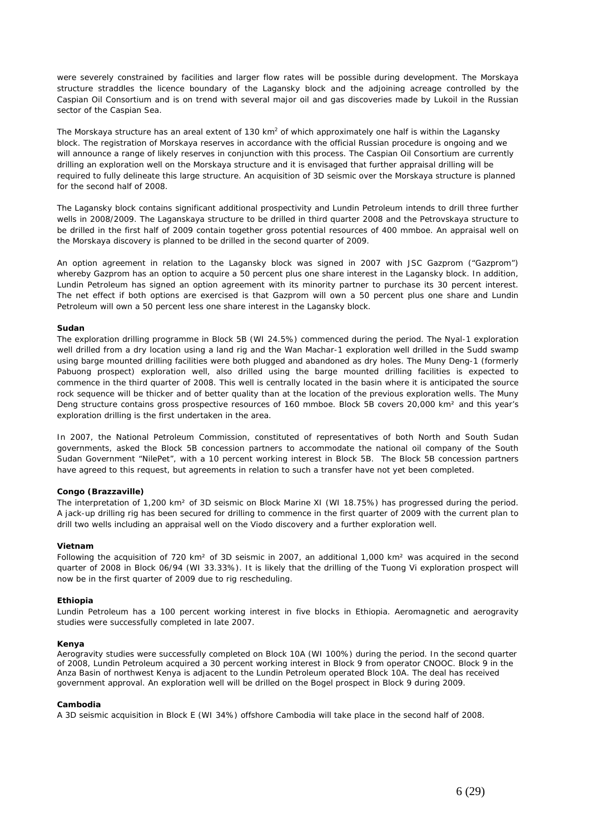were severely constrained by facilities and larger flow rates will be possible during development. The Morskaya structure straddles the licence boundary of the Lagansky block and the adjoining acreage controlled by the Caspian Oil Consortium and is on trend with several major oil and gas discoveries made by Lukoil in the Russian sector of the Caspian Sea.

The Morskaya structure has an areal extent of 130 km<sup>2</sup> of which approximately one half is within the Lagansky block. The registration of Morskaya reserves in accordance with the official Russian procedure is ongoing and we will announce a range of likely reserves in conjunction with this process. The Caspian Oil Consortium are currently drilling an exploration well on the Morskaya structure and it is envisaged that further appraisal drilling will be required to fully delineate this large structure. An acquisition of 3D seismic over the Morskaya structure is planned for the second half of 2008.

The Lagansky block contains significant additional prospectivity and Lundin Petroleum intends to drill three further wells in 2008/2009. The Laganskaya structure to be drilled in third quarter 2008 and the Petrovskaya structure to be drilled in the first half of 2009 contain together gross potential resources of 400 mmboe. An appraisal well on the Morskaya discovery is planned to be drilled in the second quarter of 2009.

An option agreement in relation to the Lagansky block was signed in 2007 with JSC Gazprom ("Gazprom") whereby Gazprom has an option to acquire a 50 percent plus one share interest in the Lagansky block. In addition, Lundin Petroleum has signed an option agreement with its minority partner to purchase its 30 percent interest. The net effect if both options are exercised is that Gazprom will own a 50 percent plus one share and Lundin Petroleum will own a 50 percent less one share interest in the Lagansky block.

# **Sudan**

The exploration drilling programme in Block 5B (WI 24.5%) commenced during the period. The Nyal-1 exploration well drilled from a dry location using a land rig and the Wan Machar-1 exploration well drilled in the Sudd swamp using barge mounted drilling facilities were both plugged and abandoned as dry holes. The Muny Deng-1 (formerly Pabuong prospect) exploration well, also drilled using the barge mounted drilling facilities is expected to commence in the third quarter of 2008. This well is centrally located in the basin where it is anticipated the source rock sequence will be thicker and of better quality than at the location of the previous exploration wells. The Muny Deng structure contains gross prospective resources of 160 mmboe. Block 5B covers 20,000 km<sup>2</sup> and this year's exploration drilling is the first undertaken in the area.

In 2007, the National Petroleum Commission, constituted of representatives of both North and South Sudan governments, asked the Block 5B concession partners to accommodate the national oil company of the South Sudan Government "NilePet", with a 10 percent working interest in Block 5B. The Block 5B concession partners have agreed to this request, but agreements in relation to such a transfer have not yet been completed.

# **Congo (Brazzaville)**

The interpretation of 1,200 km² of 3D seismic on Block Marine XI (WI 18.75%) has progressed during the period. A jack-up drilling rig has been secured for drilling to commence in the first quarter of 2009 with the current plan to drill two wells including an appraisal well on the Viodo discovery and a further exploration well.

# **Vietnam**

Following the acquisition of 720 km<sup>2</sup> of 3D seismic in 2007, an additional 1,000 km<sup>2</sup> was acquired in the second quarter of 2008 in Block 06/94 (WI 33.33%). It is likely that the drilling of the Tuong Vi exploration prospect will now be in the first quarter of 2009 due to rig rescheduling.

#### **Ethiopia**

Lundin Petroleum has a 100 percent working interest in five blocks in Ethiopia. Aeromagnetic and aerogravity studies were successfully completed in late 2007.

#### **Kenya**

Aerogravity studies were successfully completed on Block 10A (WI 100%) during the period. In the second quarter of 2008, Lundin Petroleum acquired a 30 percent working interest in Block 9 from operator CNOOC. Block 9 in the Anza Basin of northwest Kenya is adjacent to the Lundin Petroleum operated Block 10A. The deal has received government approval. An exploration well will be drilled on the Bogel prospect in Block 9 during 2009.

#### **Cambodia**

A 3D seismic acquisition in Block E (WI 34%) offshore Cambodia will take place in the second half of 2008.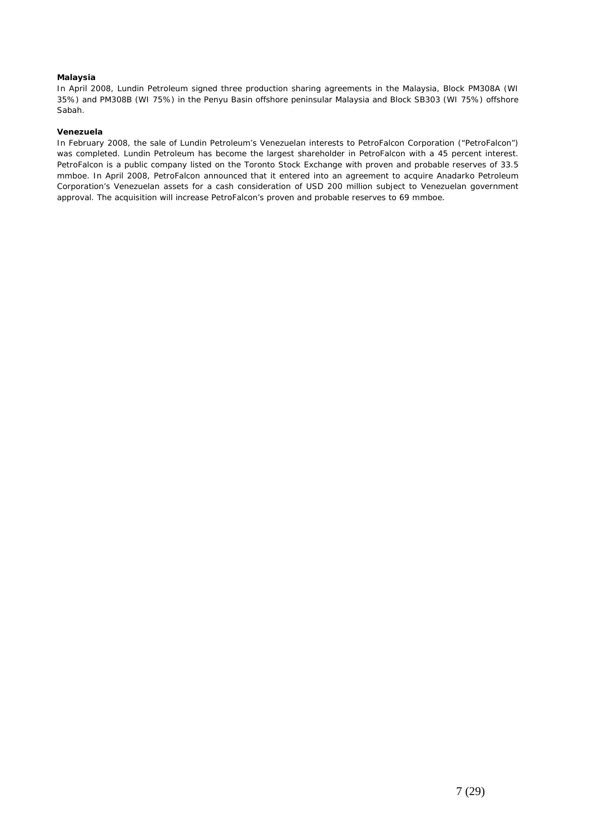# **Malaysia**

In April 2008, Lundin Petroleum signed three production sharing agreements in the Malaysia, Block PM308A (WI 35%) and PM308B (WI 75%) in the Penyu Basin offshore peninsular Malaysia and Block SB303 (WI 75%) offshore Sabah.

# **Venezuela**

In February 2008, the sale of Lundin Petroleum's Venezuelan interests to PetroFalcon Corporation ("PetroFalcon") was completed. Lundin Petroleum has become the largest shareholder in PetroFalcon with a 45 percent interest. PetroFalcon is a public company listed on the Toronto Stock Exchange with proven and probable reserves of 33.5 mmboe. In April 2008, PetroFalcon announced that it entered into an agreement to acquire Anadarko Petroleum Corporation's Venezuelan assets for a cash consideration of USD 200 million subject to Venezuelan government approval. The acquisition will increase PetroFalcon's proven and probable reserves to 69 mmboe.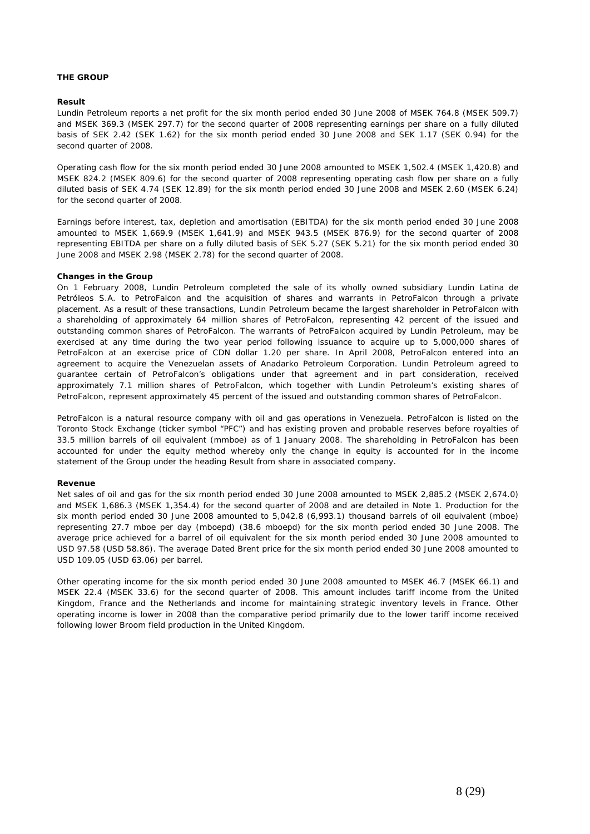# **THE GROUP**

# **Result**

Lundin Petroleum reports a net profit for the six month period ended 30 June 2008 of MSEK 764.8 (MSEK 509.7) and MSEK 369.3 (MSEK 297.7) for the second quarter of 2008 representing earnings per share on a fully diluted basis of SEK 2.42 (SEK 1.62) for the six month period ended 30 June 2008 and SEK 1.17 (SEK 0.94) for the second quarter of 2008.

Operating cash flow for the six month period ended 30 June 2008 amounted to MSEK 1,502.4 (MSEK 1,420.8) and MSEK 824.2 (MSEK 809.6) for the second quarter of 2008 representing operating cash flow per share on a fully diluted basis of SEK 4.74 (SEK 12.89) for the six month period ended 30 June 2008 and MSEK 2.60 (MSEK 6.24) for the second quarter of 2008.

Earnings before interest, tax, depletion and amortisation (EBITDA) for the six month period ended 30 June 2008 amounted to MSEK 1,669.9 (MSEK 1,641.9) and MSEK 943.5 (MSEK 876.9) for the second quarter of 2008 representing EBITDA per share on a fully diluted basis of SEK 5.27 (SEK 5.21) for the six month period ended 30 June 2008 and MSEK 2.98 (MSEK 2.78) for the second quarter of 2008.

#### **Changes in the Group**

On 1 February 2008, Lundin Petroleum completed the sale of its wholly owned subsidiary Lundin Latina de Petróleos S.A. to PetroFalcon and the acquisition of shares and warrants in PetroFalcon through a private placement. As a result of these transactions, Lundin Petroleum became the largest shareholder in PetroFalcon with a shareholding of approximately 64 million shares of PetroFalcon, representing 42 percent of the issued and outstanding common shares of PetroFalcon. The warrants of PetroFalcon acquired by Lundin Petroleum, may be exercised at any time during the two year period following issuance to acquire up to 5,000,000 shares of PetroFalcon at an exercise price of CDN dollar 1.20 per share. In April 2008, PetroFalcon entered into an agreement to acquire the Venezuelan assets of Anadarko Petroleum Corporation. Lundin Petroleum agreed to guarantee certain of PetroFalcon's obligations under that agreement and in part consideration, received approximately 7.1 million shares of PetroFalcon, which together with Lundin Petroleum's existing shares of PetroFalcon, represent approximately 45 percent of the issued and outstanding common shares of PetroFalcon.

PetroFalcon is a natural resource company with oil and gas operations in Venezuela. PetroFalcon is listed on the Toronto Stock Exchange (ticker symbol "PFC") and has existing proven and probable reserves before royalties of 33.5 million barrels of oil equivalent (mmboe) as of 1 January 2008. The shareholding in PetroFalcon has been accounted for under the equity method whereby only the change in equity is accounted for in the income statement of the Group under the heading Result from share in associated company.

#### **Revenue**

Net sales of oil and gas for the six month period ended 30 June 2008 amounted to MSEK 2,885.2 (MSEK 2,674.0) and MSEK 1,686.3 (MSEK 1,354.4) for the second quarter of 2008 and are detailed in Note 1. Production for the six month period ended 30 June 2008 amounted to 5,042.8 (6,993.1) thousand barrels of oil equivalent (mboe) representing 27.7 mboe per day (mboepd) (38.6 mboepd) for the six month period ended 30 June 2008. The average price achieved for a barrel of oil equivalent for the six month period ended 30 June 2008 amounted to USD 97.58 (USD 58.86). The average Dated Brent price for the six month period ended 30 June 2008 amounted to USD 109.05 (USD 63.06) per barrel.

Other operating income for the six month period ended 30 June 2008 amounted to MSEK 46.7 (MSEK 66.1) and MSEK 22.4 (MSEK 33.6) for the second quarter of 2008. This amount includes tariff income from the United Kingdom, France and the Netherlands and income for maintaining strategic inventory levels in France. Other operating income is lower in 2008 than the comparative period primarily due to the lower tariff income received following lower Broom field production in the United Kingdom.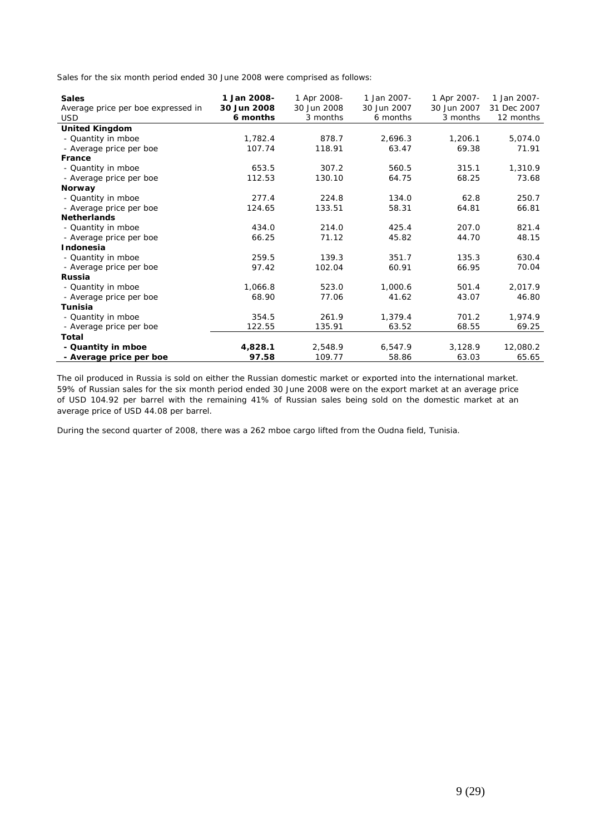Sales for the six month period ended 30 June 2008 were comprised as follows:

| <b>Sales</b><br>Average price per boe expressed in | 1 Jan 2008-<br>1 Apr 2008-<br>30 Jun 2008<br>30 Jun 2008 |          | 1 Jan 2007-<br>30 Jun 2007<br>6 months | 1 Apr 2007-<br>30 Jun 2007 | 1 Jan 2007-<br>31 Dec 2007 |
|----------------------------------------------------|----------------------------------------------------------|----------|----------------------------------------|----------------------------|----------------------------|
| <b>USD</b>                                         | 6 months                                                 | 3 months |                                        | 3 months                   | 12 months                  |
| <b>United Kingdom</b>                              |                                                          |          |                                        |                            |                            |
| - Quantity in mboe                                 | 1,782.4                                                  | 878.7    | 2,696.3                                | 1,206.1                    | 5,074.0                    |
| - Average price per boe                            | 107.74                                                   | 118.91   | 63.47                                  | 69.38                      | 71.91                      |
| France                                             |                                                          |          |                                        |                            |                            |
| - Quantity in mboe                                 | 653.5                                                    | 307.2    | 560.5                                  | 315.1                      | 1,310.9                    |
| - Average price per boe                            | 112.53                                                   | 130.10   | 64.75                                  | 68.25                      | 73.68                      |
| Norway                                             |                                                          |          |                                        |                            |                            |
| - Quantity in mboe                                 | 277.4                                                    | 224.8    | 134.0                                  | 62.8                       | 250.7                      |
| - Average price per boe                            | 124.65                                                   | 133.51   | 58.31                                  | 64.81                      | 66.81                      |
| <b>Netherlands</b>                                 |                                                          |          |                                        |                            |                            |
| - Quantity in mboe                                 | 434.0                                                    | 214.0    | 425.4                                  | 207.0                      | 821.4                      |
| - Average price per boe                            | 66.25                                                    | 71.12    | 45.82                                  | 44.70                      | 48.15                      |
| Indonesia                                          |                                                          |          |                                        |                            |                            |
| - Quantity in mboe                                 | 259.5                                                    | 139.3    | 351.7                                  | 135.3                      | 630.4                      |
| - Average price per boe                            | 97.42                                                    | 102.04   | 60.91                                  | 66.95                      | 70.04                      |
| <b>Russia</b>                                      |                                                          |          |                                        |                            |                            |
| - Quantity in mboe                                 | 1,066.8                                                  | 523.0    | 1,000.6                                | 501.4                      | 2,017.9                    |
| - Average price per boe                            | 68.90                                                    | 77.06    | 41.62                                  | 43.07                      | 46.80                      |
| Tunisia                                            |                                                          |          |                                        |                            |                            |
| - Quantity in mboe                                 | 354.5                                                    | 261.9    | 1,379.4                                | 701.2                      | 1,974.9                    |
| - Average price per boe                            | 122.55                                                   | 135.91   | 63.52                                  | 68.55                      | 69.25                      |
| Total                                              |                                                          |          |                                        |                            |                            |
| - Quantity in mboe                                 | 4,828.1                                                  | 2,548.9  | 6,547.9                                | 3,128.9                    | 12,080.2                   |
| - Average price per boe                            | 97.58                                                    | 109.77   | 58.86                                  | 63.03                      | 65.65                      |

The oil produced in Russia is sold on either the Russian domestic market or exported into the international market. 59% of Russian sales for the six month period ended 30 June 2008 were on the export market at an average price of USD 104.92 per barrel with the remaining 41% of Russian sales being sold on the domestic market at an average price of USD 44.08 per barrel.

During the second quarter of 2008, there was a 262 mboe cargo lifted from the Oudna field, Tunisia.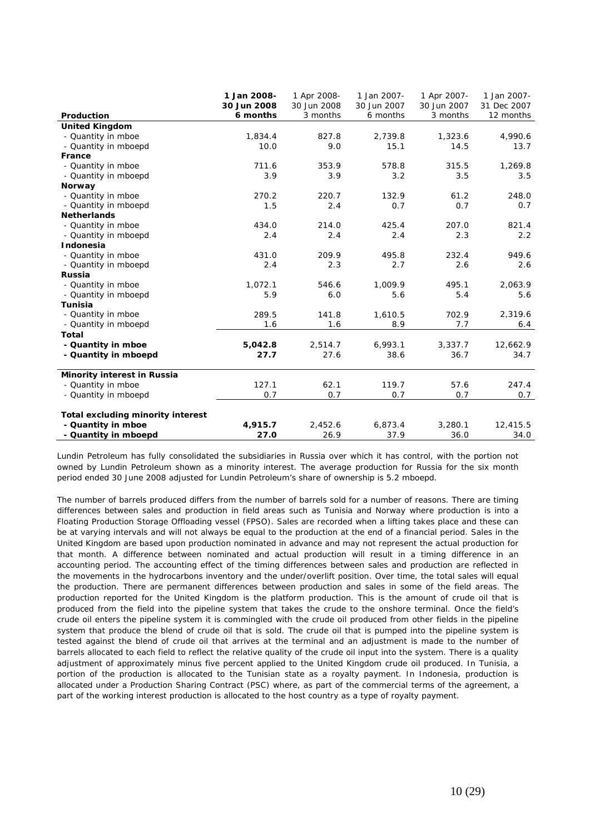| 30 Jun 2008<br>30 Jun 2008<br>30 Jun 2007<br>30 Jun 2007<br>31 Dec 2007<br>6 months<br>3 months<br>6 months<br>3 months<br>12 months<br>Production<br><b>United Kingdom</b><br>- Quantity in mboe<br>827.8<br>1,323.6<br>4,990.6<br>1,834.4<br>2,739.8<br>- Quantity in mboepd<br>9.0<br>13.7<br>10.0<br>15.1<br>14.5<br>France<br>711.6<br>353.9<br>578.8<br>315.5<br>- Quantity in mboe<br>1,269.8<br>- Quantity in mboepd<br>3.9<br>3.2<br>3.5<br>3.9<br>3.5<br>Norway<br>270.2<br>220.7<br>- Quantity in mboe<br>132.9<br>61.2<br>248.0<br>- Quantity in mboepd<br>1.5<br>2.4<br>0.7<br>0.7<br>0.7<br><b>Netherlands</b><br>425.4<br>207.0<br>821.4<br>- Quantity in mboe<br>434.0<br>214.0<br>- Quantity in mboepd<br>2.4<br>2.3<br>2.2<br>2.4<br>2.4<br><b>Indonesia</b><br>209.9<br>232.4<br>949.6<br>- Quantity in mboe<br>431.0<br>495.8<br>- Quantity in mboepd<br>2.4<br>2.3<br>2.7<br>2.6<br>2.6<br><b>Russia</b><br>1,072.1<br>1,009.9<br>2,063.9<br>- Quantity in mboe<br>546.6<br>495.1<br>- Quantity in mboepd<br>5.9<br>5.6<br>5.4<br>6.0<br>5.6<br><b>Tunisia</b><br>289.5<br>141.8<br>1,610.5<br>702.9<br>2,319.6<br>- Quantity in mboe<br>8.9<br>7.7<br>- Quantity in mboepd<br>1.6<br>1.6<br>6.4<br><b>Total</b> |
|---------------------------------------------------------------------------------------------------------------------------------------------------------------------------------------------------------------------------------------------------------------------------------------------------------------------------------------------------------------------------------------------------------------------------------------------------------------------------------------------------------------------------------------------------------------------------------------------------------------------------------------------------------------------------------------------------------------------------------------------------------------------------------------------------------------------------------------------------------------------------------------------------------------------------------------------------------------------------------------------------------------------------------------------------------------------------------------------------------------------------------------------------------------------------------------------------------------------------------------|
|                                                                                                                                                                                                                                                                                                                                                                                                                                                                                                                                                                                                                                                                                                                                                                                                                                                                                                                                                                                                                                                                                                                                                                                                                                       |
|                                                                                                                                                                                                                                                                                                                                                                                                                                                                                                                                                                                                                                                                                                                                                                                                                                                                                                                                                                                                                                                                                                                                                                                                                                       |
|                                                                                                                                                                                                                                                                                                                                                                                                                                                                                                                                                                                                                                                                                                                                                                                                                                                                                                                                                                                                                                                                                                                                                                                                                                       |
|                                                                                                                                                                                                                                                                                                                                                                                                                                                                                                                                                                                                                                                                                                                                                                                                                                                                                                                                                                                                                                                                                                                                                                                                                                       |
|                                                                                                                                                                                                                                                                                                                                                                                                                                                                                                                                                                                                                                                                                                                                                                                                                                                                                                                                                                                                                                                                                                                                                                                                                                       |
|                                                                                                                                                                                                                                                                                                                                                                                                                                                                                                                                                                                                                                                                                                                                                                                                                                                                                                                                                                                                                                                                                                                                                                                                                                       |
|                                                                                                                                                                                                                                                                                                                                                                                                                                                                                                                                                                                                                                                                                                                                                                                                                                                                                                                                                                                                                                                                                                                                                                                                                                       |
|                                                                                                                                                                                                                                                                                                                                                                                                                                                                                                                                                                                                                                                                                                                                                                                                                                                                                                                                                                                                                                                                                                                                                                                                                                       |
|                                                                                                                                                                                                                                                                                                                                                                                                                                                                                                                                                                                                                                                                                                                                                                                                                                                                                                                                                                                                                                                                                                                                                                                                                                       |
|                                                                                                                                                                                                                                                                                                                                                                                                                                                                                                                                                                                                                                                                                                                                                                                                                                                                                                                                                                                                                                                                                                                                                                                                                                       |
|                                                                                                                                                                                                                                                                                                                                                                                                                                                                                                                                                                                                                                                                                                                                                                                                                                                                                                                                                                                                                                                                                                                                                                                                                                       |
|                                                                                                                                                                                                                                                                                                                                                                                                                                                                                                                                                                                                                                                                                                                                                                                                                                                                                                                                                                                                                                                                                                                                                                                                                                       |
|                                                                                                                                                                                                                                                                                                                                                                                                                                                                                                                                                                                                                                                                                                                                                                                                                                                                                                                                                                                                                                                                                                                                                                                                                                       |
|                                                                                                                                                                                                                                                                                                                                                                                                                                                                                                                                                                                                                                                                                                                                                                                                                                                                                                                                                                                                                                                                                                                                                                                                                                       |
|                                                                                                                                                                                                                                                                                                                                                                                                                                                                                                                                                                                                                                                                                                                                                                                                                                                                                                                                                                                                                                                                                                                                                                                                                                       |
|                                                                                                                                                                                                                                                                                                                                                                                                                                                                                                                                                                                                                                                                                                                                                                                                                                                                                                                                                                                                                                                                                                                                                                                                                                       |
|                                                                                                                                                                                                                                                                                                                                                                                                                                                                                                                                                                                                                                                                                                                                                                                                                                                                                                                                                                                                                                                                                                                                                                                                                                       |
|                                                                                                                                                                                                                                                                                                                                                                                                                                                                                                                                                                                                                                                                                                                                                                                                                                                                                                                                                                                                                                                                                                                                                                                                                                       |
|                                                                                                                                                                                                                                                                                                                                                                                                                                                                                                                                                                                                                                                                                                                                                                                                                                                                                                                                                                                                                                                                                                                                                                                                                                       |
|                                                                                                                                                                                                                                                                                                                                                                                                                                                                                                                                                                                                                                                                                                                                                                                                                                                                                                                                                                                                                                                                                                                                                                                                                                       |
|                                                                                                                                                                                                                                                                                                                                                                                                                                                                                                                                                                                                                                                                                                                                                                                                                                                                                                                                                                                                                                                                                                                                                                                                                                       |
|                                                                                                                                                                                                                                                                                                                                                                                                                                                                                                                                                                                                                                                                                                                                                                                                                                                                                                                                                                                                                                                                                                                                                                                                                                       |
|                                                                                                                                                                                                                                                                                                                                                                                                                                                                                                                                                                                                                                                                                                                                                                                                                                                                                                                                                                                                                                                                                                                                                                                                                                       |
|                                                                                                                                                                                                                                                                                                                                                                                                                                                                                                                                                                                                                                                                                                                                                                                                                                                                                                                                                                                                                                                                                                                                                                                                                                       |
| 5,042.8<br>2,514.7<br>6,993.1<br>3,337.7<br>12,662.9<br>- Quantity in mboe                                                                                                                                                                                                                                                                                                                                                                                                                                                                                                                                                                                                                                                                                                                                                                                                                                                                                                                                                                                                                                                                                                                                                            |
| - Quantity in mboepd<br>27.7<br>27.6<br>38.6<br>36.7<br>34.7                                                                                                                                                                                                                                                                                                                                                                                                                                                                                                                                                                                                                                                                                                                                                                                                                                                                                                                                                                                                                                                                                                                                                                          |
| Minority interest in Russia                                                                                                                                                                                                                                                                                                                                                                                                                                                                                                                                                                                                                                                                                                                                                                                                                                                                                                                                                                                                                                                                                                                                                                                                           |
| 62.1<br>127.1<br>119.7<br>57.6<br>247.4<br>- Quantity in mboe                                                                                                                                                                                                                                                                                                                                                                                                                                                                                                                                                                                                                                                                                                                                                                                                                                                                                                                                                                                                                                                                                                                                                                         |
| 0.7<br>0.7<br>- Quantity in mboepd<br>0.7<br>0.7<br>0.7                                                                                                                                                                                                                                                                                                                                                                                                                                                                                                                                                                                                                                                                                                                                                                                                                                                                                                                                                                                                                                                                                                                                                                               |
| Total excluding minority interest                                                                                                                                                                                                                                                                                                                                                                                                                                                                                                                                                                                                                                                                                                                                                                                                                                                                                                                                                                                                                                                                                                                                                                                                     |
| - Quantity in mboe<br>3,280.1<br>12,415.5<br>4,915.7<br>2,452.6<br>6,873.4                                                                                                                                                                                                                                                                                                                                                                                                                                                                                                                                                                                                                                                                                                                                                                                                                                                                                                                                                                                                                                                                                                                                                            |
| - Quantity in mboepd<br>34.0<br>27.0<br>26.9<br>37.9<br>36.0                                                                                                                                                                                                                                                                                                                                                                                                                                                                                                                                                                                                                                                                                                                                                                                                                                                                                                                                                                                                                                                                                                                                                                          |

Lundin Petroleum has fully consolidated the subsidiaries in Russia over which it has control, with the portion not owned by Lundin Petroleum shown as a minority interest. The average production for Russia for the six month period ended 30 June 2008 adjusted for Lundin Petroleum's share of ownership is 5.2 mboepd.

The number of barrels produced differs from the number of barrels sold for a number of reasons. There are timing differences between sales and production in field areas such as Tunisia and Norway where production is into a Floating Production Storage Offloading vessel (FPSO). Sales are recorded when a lifting takes place and these can be at varying intervals and will not always be equal to the production at the end of a financial period. Sales in the United Kingdom are based upon production nominated in advance and may not represent the actual production for that month. A difference between nominated and actual production will result in a timing difference in an accounting period. The accounting effect of the timing differences between sales and production are reflected in the movements in the hydrocarbons inventory and the under/overlift position. Over time, the total sales will equal the production. There are permanent differences between production and sales in some of the field areas. The production reported for the United Kingdom is the platform production. This is the amount of crude oil that is produced from the field into the pipeline system that takes the crude to the onshore terminal. Once the field's crude oil enters the pipeline system it is commingled with the crude oil produced from other fields in the pipeline system that produce the blend of crude oil that is sold. The crude oil that is pumped into the pipeline system is tested against the blend of crude oil that arrives at the terminal and an adjustment is made to the number of barrels allocated to each field to reflect the relative quality of the crude oil input into the system. There is a quality adjustment of approximately minus five percent applied to the United Kingdom crude oil produced. In Tunisia, a portion of the production is allocated to the Tunisian state as a royalty payment. In Indonesia, production is allocated under a Production Sharing Contract (PSC) where, as part of the commercial terms of the agreement, a part of the working interest production is allocated to the host country as a type of royalty payment.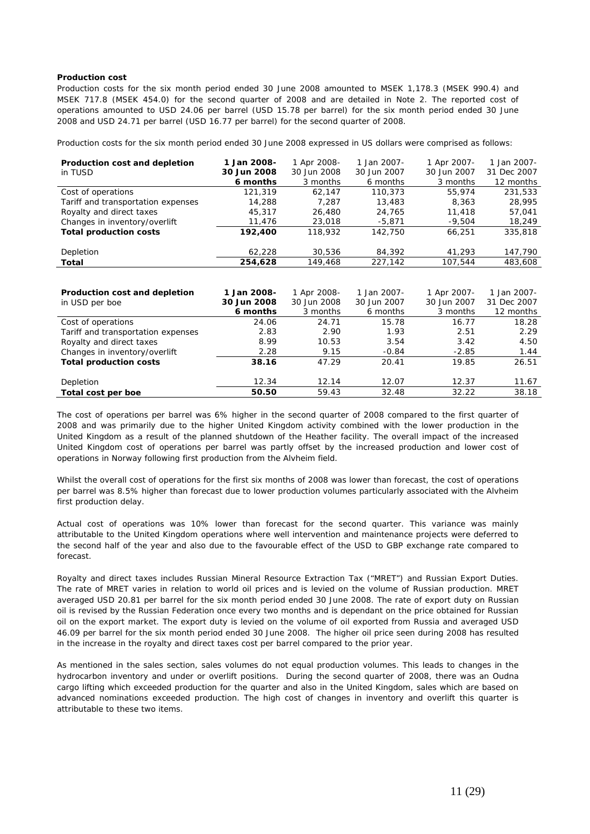# **Production cost**

Production costs for the six month period ended 30 June 2008 amounted to MSEK 1,178.3 (MSEK 990.4) and MSEK 717.8 (MSEK 454.0) for the second quarter of 2008 and are detailed in Note 2. The reported cost of operations amounted to USD 24.06 per barrel (USD 15.78 per barrel) for the six month period ended 30 June 2008 and USD 24.71 per barrel (USD 16.77 per barrel) for the second quarter of 2008.

Production costs for the six month period ended 30 June 2008 expressed in US dollars were comprised as follows:

| Production cost and depletion      | 1 Jan 2008- | 1 Apr 2008- | 1 Jan 2007- | 1 Apr 2007- | 1 Jan 2007- |
|------------------------------------|-------------|-------------|-------------|-------------|-------------|
| in TUSD                            | 30 Jun 2008 | 30 Jun 2008 | 30 Jun 2007 | 30 Jun 2007 | 31 Dec 2007 |
|                                    | 6 months    | 3 months    | 6 months    | 3 months    | 12 months   |
| Cost of operations                 | 121,319     | 62,147      | 110,373     | 55,974      | 231,533     |
| Tariff and transportation expenses | 14,288      | 7,287       | 13,483      | 8,363       | 28,995      |
| Royalty and direct taxes           | 45,317      | 26,480      | 24,765      | 11,418      | 57,041      |
| Changes in inventory/overlift      | 11,476      | 23,018      | $-5,871$    | $-9,504$    | 18,249      |
| <b>Total production costs</b>      | 192,400     | 118,932     | 142,750     | 66,251      | 335,818     |
|                                    |             |             |             |             |             |
| Depletion                          | 62,228      | 30,536      | 84,392      | 41,293      | 147,790     |
| Total                              | 254,628     | 149,468     | 227,142     | 107,544     | 483,608     |
|                                    |             |             |             |             |             |
|                                    |             |             |             |             |             |
| Production cost and depletion      | 1 Jan 2008- | 1 Apr 2008- | 1 Jan 2007- | 1 Apr 2007- | 1 Jan 2007- |
| in USD per boe                     | 30 Jun 2008 | 30 Jun 2008 | 30 Jun 2007 | 30 Jun 2007 | 31 Dec 2007 |
|                                    | 6 months    | 3 months    | 6 months    | 3 months    | 12 months   |
| Cost of operations                 | 24.06       | 24.71       | 15.78       | 16.77       | 18.28       |
| Tariff and transportation expenses | 2.83        | 2.90        | 1.93        | 2.51        | 2.29        |
| Royalty and direct taxes           | 8.99        | 10.53       | 3.54        | 3.42        | 4.50        |
| Changes in inventory/overlift      | 2.28        | 9.15        | $-0.84$     | $-2.85$     | 1.44        |
| <b>Total production costs</b>      | 38.16       | 47.29       | 20.41       | 19.85       | 26.51       |
|                                    |             |             |             |             |             |
| Depletion                          | 12.34       | 12.14       | 12.07       | 12.37       | 11.67       |
| Total cost per boe                 | 50.50       | 59.43       | 32.48       | 32.22       | 38.18       |

The cost of operations per barrel was 6% higher in the second quarter of 2008 compared to the first quarter of 2008 and was primarily due to the higher United Kingdom activity combined with the lower production in the United Kingdom as a result of the planned shutdown of the Heather facility. The overall impact of the increased United Kingdom cost of operations per barrel was partly offset by the increased production and lower cost of operations in Norway following first production from the Alvheim field.

Whilst the overall cost of operations for the first six months of 2008 was lower than forecast, the cost of operations per barrel was 8.5% higher than forecast due to lower production volumes particularly associated with the Alvheim first production delay.

Actual cost of operations was 10% lower than forecast for the second quarter. This variance was mainly attributable to the United Kingdom operations where well intervention and maintenance projects were deferred to the second half of the year and also due to the favourable effect of the USD to GBP exchange rate compared to forecast.

Royalty and direct taxes includes Russian Mineral Resource Extraction Tax ("MRET") and Russian Export Duties. The rate of MRET varies in relation to world oil prices and is levied on the volume of Russian production. MRET averaged USD 20.81 per barrel for the six month period ended 30 June 2008. The rate of export duty on Russian oil is revised by the Russian Federation once every two months and is dependant on the price obtained for Russian oil on the export market. The export duty is levied on the volume of oil exported from Russia and averaged USD 46.09 per barrel for the six month period ended 30 June 2008. The higher oil price seen during 2008 has resulted in the increase in the royalty and direct taxes cost per barrel compared to the prior year.

As mentioned in the sales section, sales volumes do not equal production volumes. This leads to changes in the hydrocarbon inventory and under or overlift positions. During the second quarter of 2008, there was an Oudna cargo lifting which exceeded production for the quarter and also in the United Kingdom, sales which are based on advanced nominations exceeded production. The high cost of changes in inventory and overlift this quarter is attributable to these two items.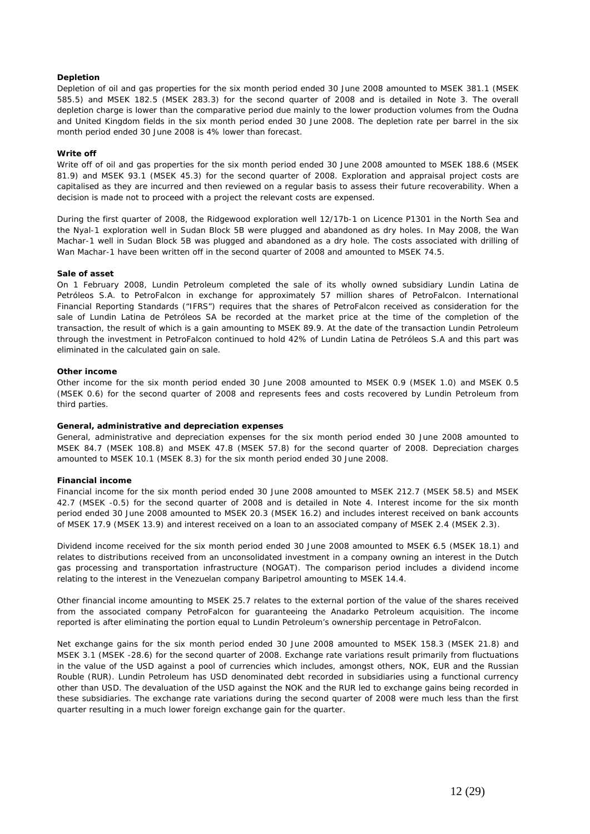# **Depletion**

Depletion of oil and gas properties for the six month period ended 30 June 2008 amounted to MSEK 381.1 (MSEK 585.5) and MSEK 182.5 (MSEK 283.3) for the second quarter of 2008 and is detailed in Note 3. The overall depletion charge is lower than the comparative period due mainly to the lower production volumes from the Oudna and United Kingdom fields in the six month period ended 30 June 2008. The depletion rate per barrel in the six month period ended 30 June 2008 is 4% lower than forecast.

### **Write off**

Write off of oil and gas properties for the six month period ended 30 June 2008 amounted to MSEK 188.6 (MSEK 81.9) and MSEK 93.1 (MSEK 45.3) for the second quarter of 2008. Exploration and appraisal project costs are capitalised as they are incurred and then reviewed on a regular basis to assess their future recoverability. When a decision is made not to proceed with a project the relevant costs are expensed.

During the first quarter of 2008, the Ridgewood exploration well 12/17b-1 on Licence P1301 in the North Sea and the Nyal-1 exploration well in Sudan Block 5B were plugged and abandoned as dry holes. In May 2008, the Wan Machar-1 well in Sudan Block 5B was plugged and abandoned as a dry hole. The costs associated with drilling of Wan Machar-1 have been written off in the second quarter of 2008 and amounted to MSEK 74.5.

#### **Sale of asset**

On 1 February 2008, Lundin Petroleum completed the sale of its wholly owned subsidiary Lundin Latina de Petróleos S.A. to PetroFalcon in exchange for approximately 57 million shares of PetroFalcon. International Financial Reporting Standards ("IFRS") requires that the shares of PetroFalcon received as consideration for the sale of Lundin Latina de Petróleos SA be recorded at the market price at the time of the completion of the transaction, the result of which is a gain amounting to MSEK 89.9. At the date of the transaction Lundin Petroleum through the investment in PetroFalcon continued to hold 42% of Lundin Latina de Petróleos S.A and this part was eliminated in the calculated gain on sale.

#### **Other income**

Other income for the six month period ended 30 June 2008 amounted to MSEK 0.9 (MSEK 1.0) and MSEK 0.5 (MSEK 0.6) for the second quarter of 2008 and represents fees and costs recovered by Lundin Petroleum from third parties.

## **General, administrative and depreciation expenses**

General, administrative and depreciation expenses for the six month period ended 30 June 2008 amounted to MSEK 84.7 (MSEK 108.8) and MSEK 47.8 (MSEK 57.8) for the second quarter of 2008. Depreciation charges amounted to MSEK 10.1 (MSEK 8.3) for the six month period ended 30 June 2008.

#### **Financial income**

Financial income for the six month period ended 30 June 2008 amounted to MSEK 212.7 (MSEK 58.5) and MSEK 42.7 (MSEK -0.5) for the second quarter of 2008 and is detailed in Note 4. Interest income for the six month period ended 30 June 2008 amounted to MSEK 20.3 (MSEK 16.2) and includes interest received on bank accounts of MSEK 17.9 (MSEK 13.9) and interest received on a loan to an associated company of MSEK 2.4 (MSEK 2.3).

Dividend income received for the six month period ended 30 June 2008 amounted to MSEK 6.5 (MSEK 18.1) and relates to distributions received from an unconsolidated investment in a company owning an interest in the Dutch gas processing and transportation infrastructure (NOGAT). The comparison period includes a dividend income relating to the interest in the Venezuelan company Baripetrol amounting to MSEK 14.4.

Other financial income amounting to MSEK 25.7 relates to the external portion of the value of the shares received from the associated company PetroFalcon for guaranteeing the Anadarko Petroleum acquisition. The income reported is after eliminating the portion equal to Lundin Petroleum's ownership percentage in PetroFalcon.

Net exchange gains for the six month period ended 30 June 2008 amounted to MSEK 158.3 (MSEK 21.8) and MSEK 3.1 (MSEK -28.6) for the second quarter of 2008. Exchange rate variations result primarily from fluctuations in the value of the USD against a pool of currencies which includes, amongst others, NOK, EUR and the Russian Rouble (RUR). Lundin Petroleum has USD denominated debt recorded in subsidiaries using a functional currency other than USD. The devaluation of the USD against the NOK and the RUR led to exchange gains being recorded in these subsidiaries. The exchange rate variations during the second quarter of 2008 were much less than the first quarter resulting in a much lower foreign exchange gain for the quarter.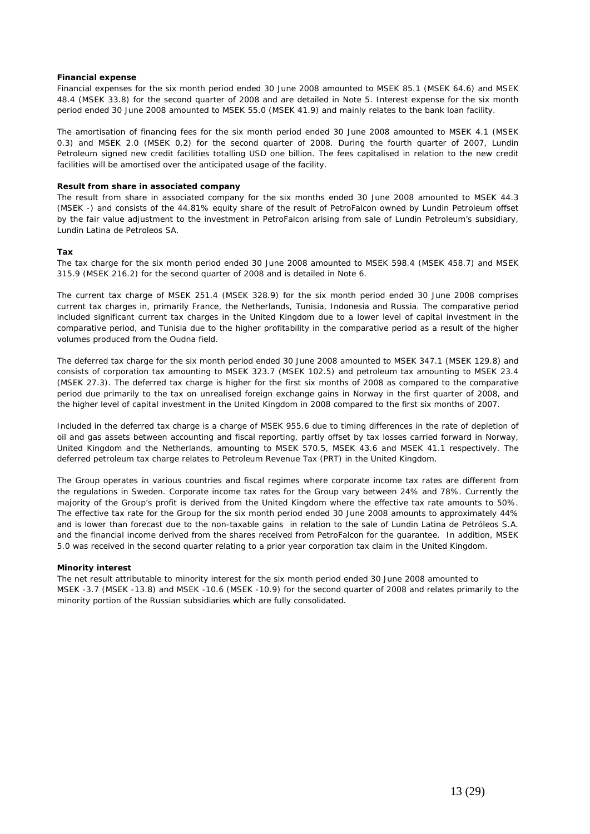# **Financial expense**

Financial expenses for the six month period ended 30 June 2008 amounted to MSEK 85.1 (MSEK 64.6) and MSEK 48.4 (MSEK 33.8) for the second quarter of 2008 and are detailed in Note 5. Interest expense for the six month period ended 30 June 2008 amounted to MSEK 55.0 (MSEK 41.9) and mainly relates to the bank loan facility.

The amortisation of financing fees for the six month period ended 30 June 2008 amounted to MSEK 4.1 (MSEK 0.3) and MSEK 2.0 (MSEK 0.2) for the second quarter of 2008. During the fourth quarter of 2007, Lundin Petroleum signed new credit facilities totalling USD one billion. The fees capitalised in relation to the new credit facilities will be amortised over the anticipated usage of the facility.

# **Result from share in associated company**

The result from share in associated company for the six months ended 30 June 2008 amounted to MSEK 44.3 (MSEK -) and consists of the 44.81% equity share of the result of PetroFalcon owned by Lundin Petroleum offset by the fair value adjustment to the investment in PetroFalcon arising from sale of Lundin Petroleum's subsidiary, Lundin Latina de Petroleos SA.

# **Tax**

The tax charge for the six month period ended 30 June 2008 amounted to MSEK 598.4 (MSEK 458.7) and MSEK 315.9 (MSEK 216.2) for the second quarter of 2008 and is detailed in Note 6.

The current tax charge of MSEK 251.4 (MSEK 328.9) for the six month period ended 30 June 2008 comprises current tax charges in, primarily France, the Netherlands, Tunisia, Indonesia and Russia. The comparative period included significant current tax charges in the United Kingdom due to a lower level of capital investment in the comparative period, and Tunisia due to the higher profitability in the comparative period as a result of the higher volumes produced from the Oudna field.

The deferred tax charge for the six month period ended 30 June 2008 amounted to MSEK 347.1 (MSEK 129.8) and consists of corporation tax amounting to MSEK 323.7 (MSEK 102.5) and petroleum tax amounting to MSEK 23.4 (MSEK 27.3). The deferred tax charge is higher for the first six months of 2008 as compared to the comparative period due primarily to the tax on unrealised foreign exchange gains in Norway in the first quarter of 2008, and the higher level of capital investment in the United Kingdom in 2008 compared to the first six months of 2007.

Included in the deferred tax charge is a charge of MSEK 955.6 due to timing differences in the rate of depletion of oil and gas assets between accounting and fiscal reporting, partly offset by tax losses carried forward in Norway, United Kingdom and the Netherlands, amounting to MSEK 570.5, MSEK 43.6 and MSEK 41.1 respectively. The deferred petroleum tax charge relates to Petroleum Revenue Tax (PRT) in the United Kingdom.

The Group operates in various countries and fiscal regimes where corporate income tax rates are different from the regulations in Sweden. Corporate income tax rates for the Group vary between 24% and 78%. Currently the majority of the Group's profit is derived from the United Kingdom where the effective tax rate amounts to 50%. The effective tax rate for the Group for the six month period ended 30 June 2008 amounts to approximately 44% and is lower than forecast due to the non-taxable gains in relation to the sale of Lundin Latina de Petróleos S.A. and the financial income derived from the shares received from PetroFalcon for the guarantee. In addition, MSEK 5.0 was received in the second quarter relating to a prior year corporation tax claim in the United Kingdom.

#### **Minority interest**

The net result attributable to minority interest for the six month period ended 30 June 2008 amounted to MSEK -3.7 (MSEK -13.8) and MSEK -10.6 (MSEK -10.9) for the second quarter of 2008 and relates primarily to the minority portion of the Russian subsidiaries which are fully consolidated.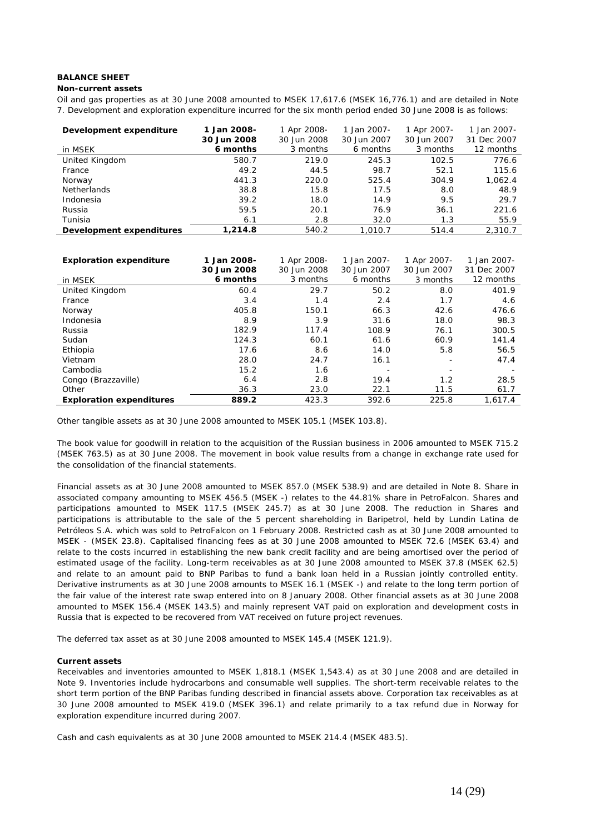# **BALANCE SHEET**

#### **Non-current assets**

Oil and gas properties as at 30 June 2008 amounted to MSEK 17,617.6 (MSEK 16,776.1) and are detailed in Note 7. Development and exploration expenditure incurred for the six month period ended 30 June 2008 is as follows:

| Development expenditure  | 1 Jan 2008-<br>30 Jun 2008 | 1 Apr 2008-<br>30 Jun 2008 | 1 Jan 2007-<br>30 Jun 2007 | 1 Apr 2007-<br>30 Jun 2007 | 1 Jan 2007-<br>31 Dec 2007 |
|--------------------------|----------------------------|----------------------------|----------------------------|----------------------------|----------------------------|
| in MSEK                  | 6 months                   | 3 months                   | 6 months                   | 3 months                   | 12 months                  |
| United Kingdom           | 580.7                      | 219.0                      | 245.3                      | 102.5                      | 776.6                      |
| France                   | 49.2                       | 44.5                       | 98.7                       | 52.1                       | 115.6                      |
| Norway                   | 441.3                      | 220.0                      | 525.4                      | 304.9                      | 1,062.4                    |
| <b>Netherlands</b>       | 38.8                       | 15.8                       | 17.5                       | 8.0                        | 48.9                       |
| Indonesia                | 39.2                       | 18.0                       | 14.9                       | 9.5                        | 29.7                       |
| Russia                   | 59.5                       | 20.1                       | 76.9                       | 36.1                       | 221.6                      |
| Tunisia                  | 6.1                        | 2.8                        | 32.0                       | 1.3                        | 55.9                       |
| Development expenditures | 1.214.8                    | 540.2                      | 1.010.7                    | 514.4                      | 2.310.7                    |

| <b>Exploration expenditure</b>  | 1 Jan 2008- | 1 Apr 2008- | 1 Jan 2007-              | 1 Apr 2007- | 1 Jan 2007- |
|---------------------------------|-------------|-------------|--------------------------|-------------|-------------|
|                                 | 30 Jun 2008 | 30 Jun 2008 | 30 Jun 2007              | 30 Jun 2007 | 31 Dec 2007 |
| in MSEK                         | 6 months    | 3 months    | 6 months                 | 3 months    | 12 months   |
| United Kingdom                  | 60.4        | 29.7        | 50.2                     | 8.0         | 401.9       |
| France                          | 3.4         | 1.4         | 2.4                      | 1.7         | 4.6         |
| Norway                          | 405.8       | 150.1       | 66.3                     | 42.6        | 476.6       |
| Indonesia                       | 8.9         | 3.9         | 31.6                     | 18.0        | 98.3        |
| Russia                          | 182.9       | 117.4       | 108.9                    | 76.1        | 300.5       |
| Sudan                           | 124.3       | 60.1        | 61.6                     | 60.9        | 141.4       |
| Ethiopia                        | 17.6        | 8.6         | 14.0                     | 5.8         | 56.5        |
| Vietnam                         | 28.0        | 24.7        | 16.1                     |             | 47.4        |
| Cambodia                        | 15.2        | 1.6         | $\overline{\phantom{a}}$ |             |             |
| Congo (Brazzaville)             | 6.4         | 2.8         | 19.4                     | 1.2         | 28.5        |
| Other                           | 36.3        | 23.0        | 22.1                     | 11.5        | 61.7        |
| <b>Exploration expenditures</b> | 889.2       | 423.3       | 392.6                    | 225.8       | 1.617.4     |

Other tangible assets as at 30 June 2008 amounted to MSEK 105.1 (MSEK 103.8).

The book value for goodwill in relation to the acquisition of the Russian business in 2006 amounted to MSEK 715.2 (MSEK 763.5) as at 30 June 2008. The movement in book value results from a change in exchange rate used for the consolidation of the financial statements.

Financial assets as at 30 June 2008 amounted to MSEK 857.0 (MSEK 538.9) and are detailed in Note 8. Share in associated company amounting to MSEK 456.5 (MSEK -) relates to the 44.81% share in PetroFalcon. Shares and participations amounted to MSEK 117.5 (MSEK 245.7) as at 30 June 2008. The reduction in Shares and participations is attributable to the sale of the 5 percent shareholding in Baripetrol, held by Lundin Latina de Petróleos S.A. which was sold to PetroFalcon on 1 February 2008. Restricted cash as at 30 June 2008 amounted to MSEK - (MSEK 23.8). Capitalised financing fees as at 30 June 2008 amounted to MSEK 72.6 (MSEK 63.4) and relate to the costs incurred in establishing the new bank credit facility and are being amortised over the period of estimated usage of the facility. Long-term receivables as at 30 June 2008 amounted to MSEK 37.8 (MSEK 62.5) and relate to an amount paid to BNP Paribas to fund a bank loan held in a Russian jointly controlled entity. Derivative instruments as at 30 June 2008 amounts to MSEK 16.1 (MSEK -) and relate to the long term portion of the fair value of the interest rate swap entered into on 8 January 2008. Other financial assets as at 30 June 2008 amounted to MSEK 156.4 (MSEK 143.5) and mainly represent VAT paid on exploration and development costs in Russia that is expected to be recovered from VAT received on future project revenues.

The deferred tax asset as at 30 June 2008 amounted to MSEK 145.4 (MSEK 121.9).

# **Current assets**

Receivables and inventories amounted to MSEK 1,818.1 (MSEK 1,543.4) as at 30 June 2008 and are detailed in Note 9. Inventories include hydrocarbons and consumable well supplies. The short-term receivable relates to the short term portion of the BNP Paribas funding described in financial assets above. Corporation tax receivables as at 30 June 2008 amounted to MSEK 419.0 (MSEK 396.1) and relate primarily to a tax refund due in Norway for exploration expenditure incurred during 2007.

Cash and cash equivalents as at 30 June 2008 amounted to MSEK 214.4 (MSEK 483.5).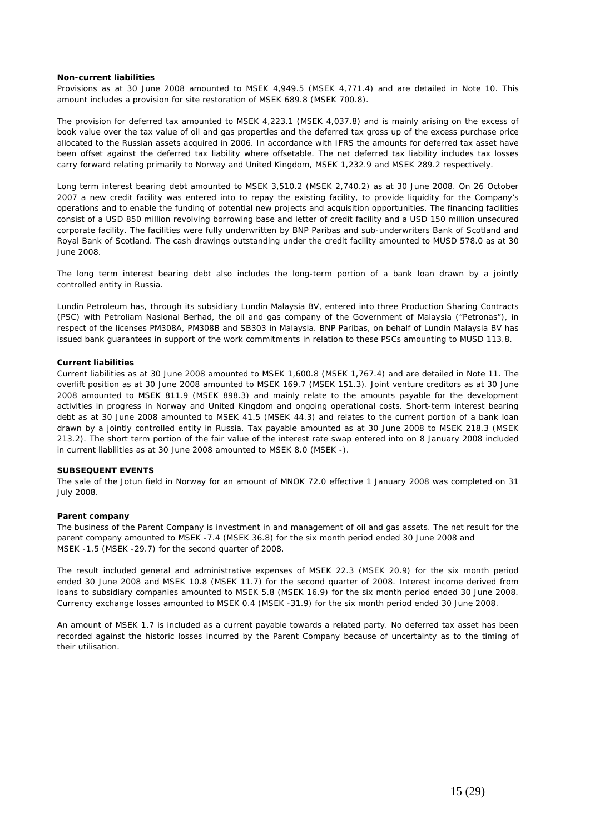#### **Non-current liabilities**

Provisions as at 30 June 2008 amounted to MSEK 4,949.5 (MSEK 4,771.4) and are detailed in Note 10. This amount includes a provision for site restoration of MSEK 689.8 (MSEK 700.8).

The provision for deferred tax amounted to MSEK 4,223.1 (MSEK 4,037.8) and is mainly arising on the excess of book value over the tax value of oil and gas properties and the deferred tax gross up of the excess purchase price allocated to the Russian assets acquired in 2006. In accordance with IFRS the amounts for deferred tax asset have been offset against the deferred tax liability where offsetable. The net deferred tax liability includes tax losses carry forward relating primarily to Norway and United Kingdom, MSEK 1,232.9 and MSEK 289.2 respectively.

Long term interest bearing debt amounted to MSEK 3,510.2 (MSEK 2,740.2) as at 30 June 2008. On 26 October 2007 a new credit facility was entered into to repay the existing facility, to provide liquidity for the Company's operations and to enable the funding of potential new projects and acquisition opportunities. The financing facilities consist of a USD 850 million revolving borrowing base and letter of credit facility and a USD 150 million unsecured corporate facility. The facilities were fully underwritten by BNP Paribas and sub-underwriters Bank of Scotland and Royal Bank of Scotland. The cash drawings outstanding under the credit facility amounted to MUSD 578.0 as at 30 June 2008.

The long term interest bearing debt also includes the long-term portion of a bank loan drawn by a jointly controlled entity in Russia.

Lundin Petroleum has, through its subsidiary Lundin Malaysia BV, entered into three Production Sharing Contracts (PSC) with Petroliam Nasional Berhad, the oil and gas company of the Government of Malaysia ("Petronas"), in respect of the licenses PM308A, PM308B and SB303 in Malaysia. BNP Paribas, on behalf of Lundin Malaysia BV has issued bank guarantees in support of the work commitments in relation to these PSCs amounting to MUSD 113.8.

# **Current liabilities**

Current liabilities as at 30 June 2008 amounted to MSEK 1,600.8 (MSEK 1,767.4) and are detailed in Note 11. The overlift position as at 30 June 2008 amounted to MSEK 169.7 (MSEK 151.3). Joint venture creditors as at 30 June 2008 amounted to MSEK 811.9 (MSEK 898.3) and mainly relate to the amounts payable for the development activities in progress in Norway and United Kingdom and ongoing operational costs. Short-term interest bearing debt as at 30 June 2008 amounted to MSEK 41.5 (MSEK 44.3) and relates to the current portion of a bank loan drawn by a jointly controlled entity in Russia. Tax payable amounted as at 30 June 2008 to MSEK 218.3 (MSEK 213.2). The short term portion of the fair value of the interest rate swap entered into on 8 January 2008 included in current liabilities as at 30 June 2008 amounted to MSEK 8.0 (MSEK -).

# **SUBSEQUENT EVENTS**

The sale of the Jotun field in Norway for an amount of MNOK 72.0 effective 1 January 2008 was completed on 31 July 2008.

#### **Parent company**

The business of the Parent Company is investment in and management of oil and gas assets. The net result for the parent company amounted to MSEK -7.4 (MSEK 36.8) for the six month period ended 30 June 2008 and MSEK -1.5 (MSEK -29.7) for the second quarter of 2008.

The result included general and administrative expenses of MSEK 22.3 (MSEK 20.9) for the six month period ended 30 June 2008 and MSEK 10.8 (MSEK 11.7) for the second quarter of 2008. Interest income derived from loans to subsidiary companies amounted to MSEK 5.8 (MSEK 16.9) for the six month period ended 30 June 2008. Currency exchange losses amounted to MSEK 0.4 (MSEK -31.9) for the six month period ended 30 June 2008.

An amount of MSEK 1.7 is included as a current payable towards a related party. No deferred tax asset has been recorded against the historic losses incurred by the Parent Company because of uncertainty as to the timing of their utilisation.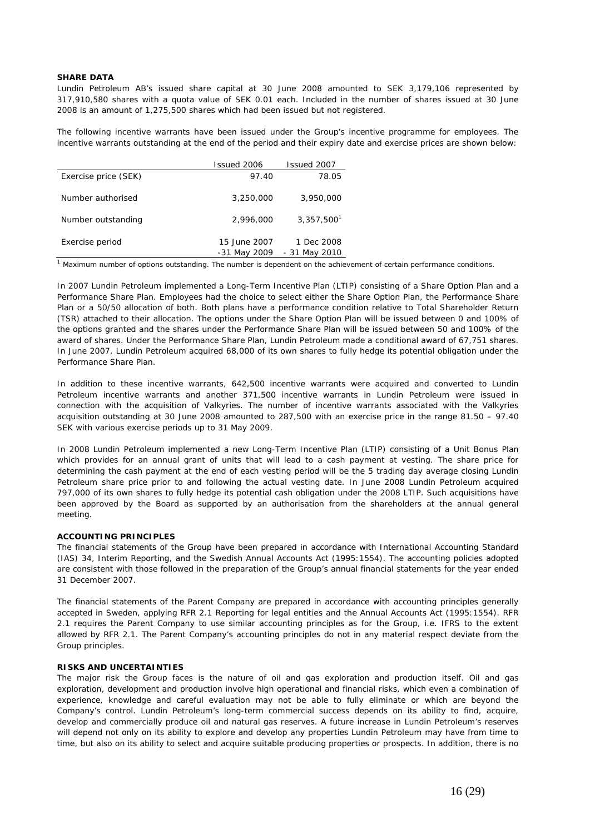# **SHARE DATA**

Lundin Petroleum AB's issued share capital at 30 June 2008 amounted to SEK 3,179,106 represented by 317,910,580 shares with a quota value of SEK 0.01 each. Included in the number of shares issued at 30 June 2008 is an amount of 1,275,500 shares which had been issued but not registered.

The following incentive warrants have been issued under the Group's incentive programme for employees. The incentive warrants outstanding at the end of the period and their expiry date and exercise prices are shown below:

|                      | Issued 2006  | Issued 2007            |
|----------------------|--------------|------------------------|
| Exercise price (SEK) | 97.40        | 78.05                  |
| Number authorised    | 3,250,000    | 3,950,000              |
| Number outstanding   | 2,996,000    | 3,357,500 <sup>1</sup> |
| Exercise period      | 15 June 2007 | 1 Dec 2008             |
|                      | -31 May 2009 | - 31 May 2010          |

 $1$  Maximum number of options outstanding. The number is dependent on the achievement of certain performance conditions.

In 2007 Lundin Petroleum implemented a Long-Term Incentive Plan (LTIP) consisting of a Share Option Plan and a Performance Share Plan. Employees had the choice to select either the Share Option Plan, the Performance Share Plan or a 50/50 allocation of both. Both plans have a performance condition relative to Total Shareholder Return (TSR) attached to their allocation. The options under the Share Option Plan will be issued between 0 and 100% of the options granted and the shares under the Performance Share Plan will be issued between 50 and 100% of the award of shares. Under the Performance Share Plan, Lundin Petroleum made a conditional award of 67,751 shares. In June 2007, Lundin Petroleum acquired 68,000 of its own shares to fully hedge its potential obligation under the Performance Share Plan.

In addition to these incentive warrants, 642,500 incentive warrants were acquired and converted to Lundin Petroleum incentive warrants and another 371,500 incentive warrants in Lundin Petroleum were issued in connection with the acquisition of Valkyries. The number of incentive warrants associated with the Valkyries acquisition outstanding at 30 June 2008 amounted to 287,500 with an exercise price in the range 81.50 – 97.40 SEK with various exercise periods up to 31 May 2009.

In 2008 Lundin Petroleum implemented a new Long-Term Incentive Plan (LTIP) consisting of a Unit Bonus Plan which provides for an annual grant of units that will lead to a cash payment at vesting. The share price for determining the cash payment at the end of each vesting period will be the 5 trading day average closing Lundin Petroleum share price prior to and following the actual vesting date. In June 2008 Lundin Petroleum acquired 797,000 of its own shares to fully hedge its potential cash obligation under the 2008 LTIP. Such acquisitions have been approved by the Board as supported by an authorisation from the shareholders at the annual general meeting.

# **ACCOUNTING PRINCIPLES**

The financial statements of the Group have been prepared in accordance with International Accounting Standard (IAS) 34, Interim Reporting, and the Swedish Annual Accounts Act (1995:1554). The accounting policies adopted are consistent with those followed in the preparation of the Group's annual financial statements for the year ended 31 December 2007.

The financial statements of the Parent Company are prepared in accordance with accounting principles generally accepted in Sweden, applying RFR 2.1 Reporting for legal entities and the Annual Accounts Act (1995:1554). RFR 2.1 requires the Parent Company to use similar accounting principles as for the Group, i.e. IFRS to the extent allowed by RFR 2.1. The Parent Company's accounting principles do not in any material respect deviate from the Group principles.

#### **RISKS AND UNCERTAINTIES**

The major risk the Group faces is the nature of oil and gas exploration and production itself. Oil and gas exploration, development and production involve high operational and financial risks, which even a combination of experience, knowledge and careful evaluation may not be able to fully eliminate or which are beyond the Company's control. Lundin Petroleum's long-term commercial success depends on its ability to find, acquire, develop and commercially produce oil and natural gas reserves. A future increase in Lundin Petroleum's reserves will depend not only on its ability to explore and develop any properties Lundin Petroleum may have from time to time, but also on its ability to select and acquire suitable producing properties or prospects. In addition, there is no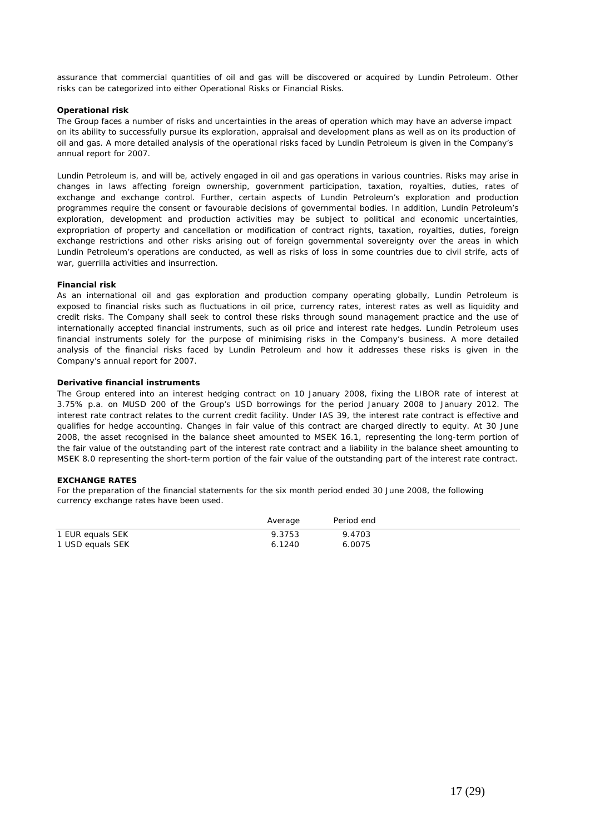assurance that commercial quantities of oil and gas will be discovered or acquired by Lundin Petroleum. Other risks can be categorized into either Operational Risks or Financial Risks.

# **Operational risk**

The Group faces a number of risks and uncertainties in the areas of operation which may have an adverse impact on its ability to successfully pursue its exploration, appraisal and development plans as well as on its production of oil and gas. A more detailed analysis of the operational risks faced by Lundin Petroleum is given in the Company's annual report for 2007.

Lundin Petroleum is, and will be, actively engaged in oil and gas operations in various countries. Risks may arise in changes in laws affecting foreign ownership, government participation, taxation, royalties, duties, rates of exchange and exchange control. Further, certain aspects of Lundin Petroleum's exploration and production programmes require the consent or favourable decisions of governmental bodies. In addition, Lundin Petroleum's exploration, development and production activities may be subject to political and economic uncertainties, expropriation of property and cancellation or modification of contract rights, taxation, royalties, duties, foreign exchange restrictions and other risks arising out of foreign governmental sovereignty over the areas in which Lundin Petroleum's operations are conducted, as well as risks of loss in some countries due to civil strife, acts of war, guerrilla activities and insurrection.

# **Financial risk**

As an international oil and gas exploration and production company operating globally, Lundin Petroleum is exposed to financial risks such as fluctuations in oil price, currency rates, interest rates as well as liquidity and credit risks. The Company shall seek to control these risks through sound management practice and the use of internationally accepted financial instruments, such as oil price and interest rate hedges. Lundin Petroleum uses financial instruments solely for the purpose of minimising risks in the Company's business. A more detailed analysis of the financial risks faced by Lundin Petroleum and how it addresses these risks is given in the Company's annual report for 2007.

# **Derivative financial instruments**

The Group entered into an interest hedging contract on 10 January 2008, fixing the LIBOR rate of interest at 3.75% p.a. on MUSD 200 of the Group's USD borrowings for the period January 2008 to January 2012. The interest rate contract relates to the current credit facility. Under IAS 39, the interest rate contract is effective and qualifies for hedge accounting. Changes in fair value of this contract are charged directly to equity. At 30 June 2008, the asset recognised in the balance sheet amounted to MSEK 16.1, representing the long-term portion of the fair value of the outstanding part of the interest rate contract and a liability in the balance sheet amounting to MSEK 8.0 representing the short-term portion of the fair value of the outstanding part of the interest rate contract.

## **EXCHANGE RATES**

For the preparation of the financial statements for the six month period ended 30 June 2008, the following currency exchange rates have been used.

|                  | Average | Period end |
|------------------|---------|------------|
| 1 EUR equals SEK | 9.3753  | 9.4703     |
| 1 USD equals SEK | 6.1240  | 6.0075     |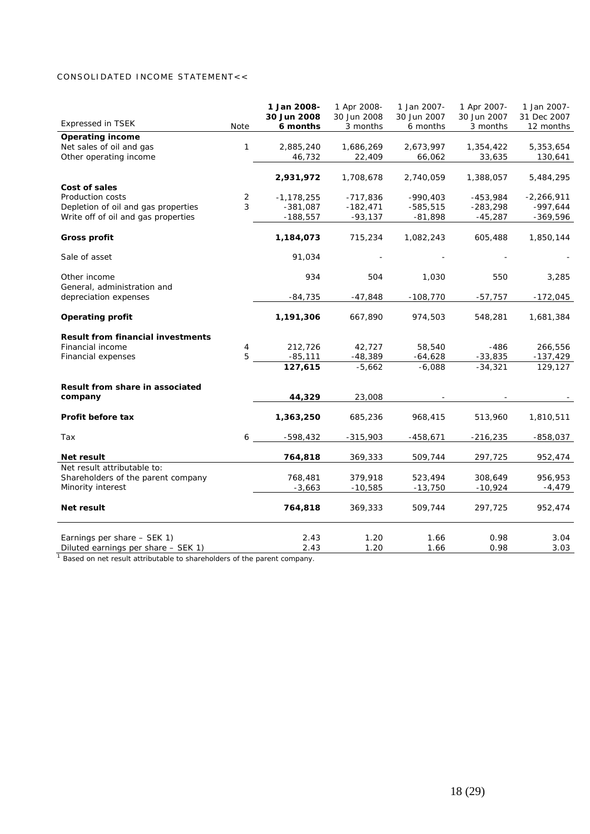# CONSOLIDATED INCOME STATEMENT<<

|                                                         |        | 1 Jan 2008-<br>30 Jun 2008   | 1 Apr 2008-<br>30 Jun 2008 | 1 Jan 2007-<br>30 Jun 2007 | 1 Apr 2007-<br>30 Jun 2007 | 1 Jan 2007-<br>31 Dec 2007 |
|---------------------------------------------------------|--------|------------------------------|----------------------------|----------------------------|----------------------------|----------------------------|
| <b>Expressed in TSEK</b>                                | Note   | 6 months                     | 3 months                   | 6 months                   | 3 months                   | 12 months                  |
| <b>Operating income</b>                                 |        |                              |                            |                            |                            |                            |
| Net sales of oil and gas                                | 1      | 2,885,240                    | 1,686,269                  | 2,673,997                  | 1,354,422                  | 5,353,654                  |
| Other operating income                                  |        | 46,732                       | 22,409                     | 66,062                     | 33,635                     | 130,641                    |
|                                                         |        |                              |                            |                            |                            |                            |
|                                                         |        | 2,931,972                    | 1,708,678                  | 2,740,059                  | 1,388,057                  | 5,484,295                  |
| Cost of sales                                           |        |                              |                            |                            |                            |                            |
| Production costs<br>Depletion of oil and gas properties | 2<br>3 | $-1, 178, 255$<br>$-381,087$ | $-717,836$<br>$-182,471$   | $-990,403$<br>$-585,515$   | $-453,984$<br>$-283,298$   | $-2,266,911$<br>$-997,644$ |
| Write off of oil and gas properties                     |        | $-188,557$                   | $-93,137$                  | $-81,898$                  | $-45,287$                  | $-369,596$                 |
|                                                         |        |                              |                            |                            |                            |                            |
| <b>Gross profit</b>                                     |        | 1,184,073                    | 715,234                    | 1,082,243                  | 605,488                    | 1,850,144                  |
| Sale of asset                                           |        | 91,034                       |                            |                            |                            |                            |
| Other income                                            |        | 934                          | 504                        | 1,030                      | 550                        | 3,285                      |
| General, administration and<br>depreciation expenses    |        | $-84,735$                    | $-47,848$                  | $-108,770$                 | $-57,757$                  | $-172,045$                 |
|                                                         |        |                              |                            |                            |                            |                            |
| <b>Operating profit</b>                                 |        | 1,191,306                    | 667,890                    | 974,503                    | 548,281                    | 1,681,384                  |
| <b>Result from financial investments</b>                |        |                              |                            |                            |                            |                            |
| Financial income                                        | 4      | 212,726                      | 42,727                     | 58,540                     | $-486$                     | 266,556                    |
| Financial expenses                                      | 5      | $-85,111$                    | $-48,389$                  | $-64,628$                  | $-33,835$                  | $-137,429$                 |
|                                                         |        | 127,615                      | $-5,662$                   | $-6,088$                   | $-34,321$                  | 129,127                    |
| Result from share in associated                         |        |                              |                            |                            |                            |                            |
| company                                                 |        | 44,329                       | 23,008                     |                            |                            |                            |
| Profit before tax                                       |        | 1,363,250                    | 685,236                    | 968,415                    | 513,960                    | 1,810,511                  |
| Tax                                                     | 6      | $-598,432$                   | $-315,903$                 | $-458,671$                 | $-216,235$                 | $-858,037$                 |
|                                                         |        |                              |                            |                            |                            |                            |
| Net result                                              |        | 764,818                      | 369,333                    | 509,744                    | 297,725                    | 952,474                    |
| Net result attributable to:                             |        |                              |                            |                            |                            |                            |
| Shareholders of the parent company                      |        | 768,481                      | 379,918                    | 523,494                    | 308,649                    | 956,953                    |
| Minority interest                                       |        | $-3,663$                     | $-10,585$                  | $-13,750$                  | $-10,924$                  | -4,479                     |
| Net result                                              |        | 764,818                      | 369,333                    | 509,744                    | 297,725                    | 952,474                    |
| Earnings per share - SEK 1)                             |        | 2.43                         | 1.20                       | 1.66                       | 0.98                       | 3.04                       |
| Diluted earnings per share - SEK 1)                     |        | 2.43                         | 1.20                       | 1.66                       | 0.98                       | 3.03                       |
|                                                         |        |                              |                            |                            |                            |                            |

<sup>1</sup> Based on net result attributable to shareholders of the parent company.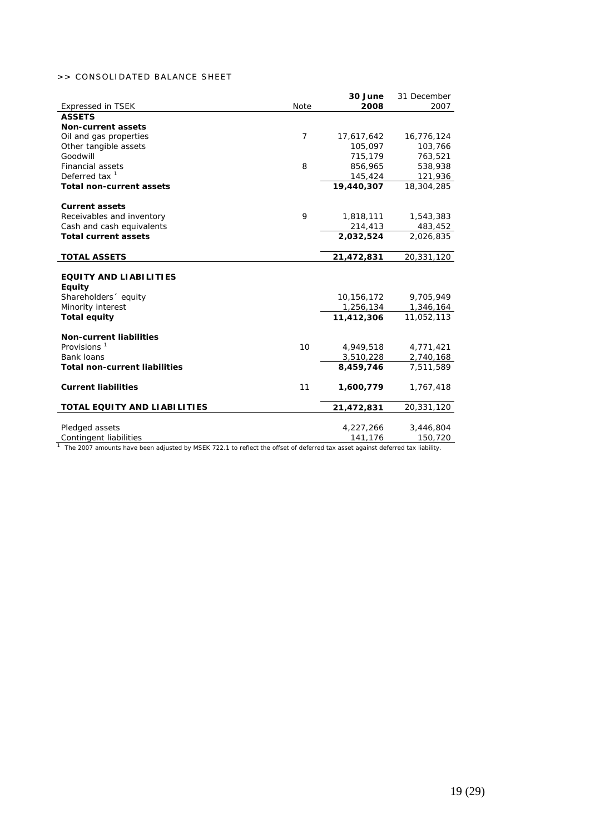# >> CONSOLIDATED BALANCE SHEET

|                                      |                | 30 June    | 31 December |
|--------------------------------------|----------------|------------|-------------|
| <b>Expressed in TSEK</b>             | Note           | 2008       | 2007        |
| <b>ASSETS</b>                        |                |            |             |
| <b>Non-current assets</b>            |                |            |             |
| Oil and gas properties               | $\overline{7}$ | 17,617,642 | 16,776,124  |
| Other tangible assets                |                | 105,097    | 103,766     |
| Goodwill                             |                | 715,179    | 763,521     |
| <b>Financial assets</b>              | 8              | 856,965    | 538,938     |
| Deferred tax $1$                     |                | 145,424    | 121,936     |
| <b>Total non-current assets</b>      |                | 19,440,307 | 18,304,285  |
| <b>Current assets</b>                |                |            |             |
| Receivables and inventory            | 9              | 1,818,111  | 1,543,383   |
| Cash and cash equivalents            |                | 214,413    | 483,452     |
| <b>Total current assets</b>          |                | 2,032,524  | 2,026,835   |
| <b>TOTAL ASSETS</b>                  |                | 21,472,831 | 20,331,120  |
|                                      |                |            |             |
| <b>EQUITY AND LIABILITIES</b>        |                |            |             |
| <b>Equity</b>                        |                |            |             |
| Shareholders equity                  |                | 10,156,172 | 9,705,949   |
| Minority interest                    |                | 1,256,134  | 1,346,164   |
| <b>Total equity</b>                  |                | 11,412,306 | 11,052,113  |
| <b>Non-current liabilities</b>       |                |            |             |
| Provisions $1$                       | 10             | 4,949,518  | 4,771,421   |
| Bank loans                           |                | 3,510,228  | 2,740,168   |
| <b>Total non-current liabilities</b> |                | 8,459,746  | 7,511,589   |
| <b>Current liabilities</b>           | 11             | 1,600,779  | 1,767,418   |
| TOTAL EQUITY AND LIABILITIES         |                | 21,472,831 | 20,331,120  |
|                                      |                |            |             |
| Pledged assets                       |                | 4,227,266  | 3,446,804   |
| Contingent liabilities               |                | 141,176    | 150,720     |

The 2007 amounts have been adjusted by MSEK 722.1 to reflect the offset of deferred tax asset against deferred tax liability.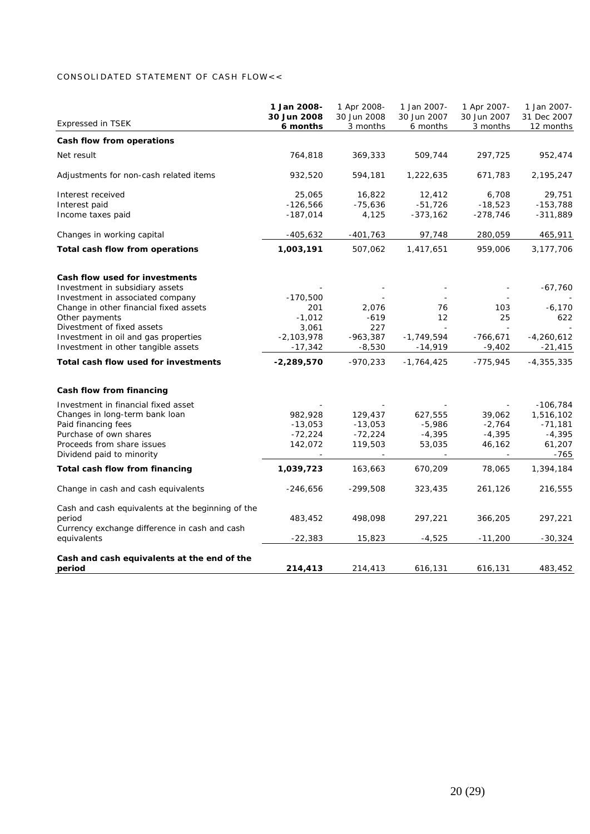# CONSOLIDATED STATEMENT OF CASH FLOW<<

| <b>Expressed in TSEK</b>                          | 1 Jan 2008-<br>30 Jun 2008 | 1 Apr 2008-<br>30 Jun 2008 | 1 Jan 2007-<br>30 Jun 2007 | 1 Apr 2007-<br>30 Jun 2007 | 1 Jan 2007-<br>31 Dec 2007 |
|---------------------------------------------------|----------------------------|----------------------------|----------------------------|----------------------------|----------------------------|
| Cash flow from operations                         | 6 months                   | 3 months                   | 6 months                   | 3 months                   | 12 months                  |
| Net result                                        | 764,818                    | 369,333                    | 509,744                    | 297,725                    | 952,474                    |
|                                                   |                            |                            |                            |                            |                            |
| Adjustments for non-cash related items            | 932,520                    | 594,181                    | 1,222,635                  | 671,783                    | 2,195,247                  |
| Interest received                                 | 25,065                     | 16,822                     | 12,412                     | 6,708                      | 29,751                     |
| Interest paid                                     | $-126,566$                 | $-75,636$                  | $-51,726$                  | $-18,523$                  | $-153,788$                 |
| Income taxes paid                                 | $-187,014$                 | 4,125                      | $-373,162$                 | $-278,746$                 | $-311,889$                 |
| Changes in working capital                        | $-405,632$                 | -401,763                   | 97,748                     | 280,059                    | 465,911                    |
| Total cash flow from operations                   | 1,003,191                  | 507,062                    | 1,417,651                  | 959,006                    | 3,177,706                  |
| Cash flow used for investments                    |                            |                            |                            |                            |                            |
| Investment in subsidiary assets                   |                            |                            |                            |                            | -67,760                    |
| Investment in associated company                  | $-170,500$                 |                            |                            |                            |                            |
| Change in other financial fixed assets            | 201                        | 2,076                      | 76                         | 103                        | $-6,170$                   |
| Other payments                                    | $-1,012$                   | $-619$                     | 12                         | 25                         | 622                        |
| Divestment of fixed assets                        | 3,061                      | 227                        |                            |                            |                            |
| Investment in oil and gas properties              | $-2,103,978$               | $-963,387$                 | $-1,749,594$               | $-766,671$                 | $-4,260,612$               |
| Investment in other tangible assets               | $-17,342$                  | $-8,530$                   | $-14,919$                  | $-9,402$                   | $-21,415$                  |
| Total cash flow used for investments              | $-2,289,570$               | $-970,233$                 | $-1,764,425$               | $-775,945$                 | -4,355,335                 |
| Cash flow from financing                          |                            |                            |                            |                            |                            |
| Investment in financial fixed asset               |                            |                            |                            |                            | $-106,784$                 |
| Changes in long-term bank loan                    | 982,928                    | 129,437                    | 627,555                    | 39,062                     | 1,516,102                  |
| Paid financing fees                               | $-13,053$                  | $-13,053$                  | $-5,986$                   | $-2,764$                   | $-71,181$                  |
| Purchase of own shares                            | $-72,224$                  | $-72,224$                  | $-4,395$                   | $-4,395$                   | $-4,395$                   |
| Proceeds from share issues                        | 142,072                    | 119,503                    | 53,035                     | 46,162                     | 61,207                     |
| Dividend paid to minority                         |                            | $\overline{\phantom{a}}$   |                            | $\overline{\phantom{a}}$   | -765                       |
| Total cash flow from financing                    | 1,039,723                  | 163,663                    | 670,209                    | 78,065                     | 1,394,184                  |
| Change in cash and cash equivalents               | $-246,656$                 | $-299,508$                 | 323,435                    | 261,126                    | 216,555                    |
| Cash and cash equivalents at the beginning of the |                            |                            |                            |                            |                            |
| period                                            | 483,452                    | 498,098                    | 297,221                    | 366,205                    | 297,221                    |
| Currency exchange difference in cash and cash     |                            |                            |                            |                            |                            |
| equivalents                                       | $-22,383$                  | 15,823                     | $-4,525$                   | $-11,200$                  | $-30,324$                  |
| Cash and cash equivalents at the end of the       |                            |                            |                            |                            |                            |
| period                                            | 214,413                    | 214,413                    | 616,131                    | 616,131                    | 483,452                    |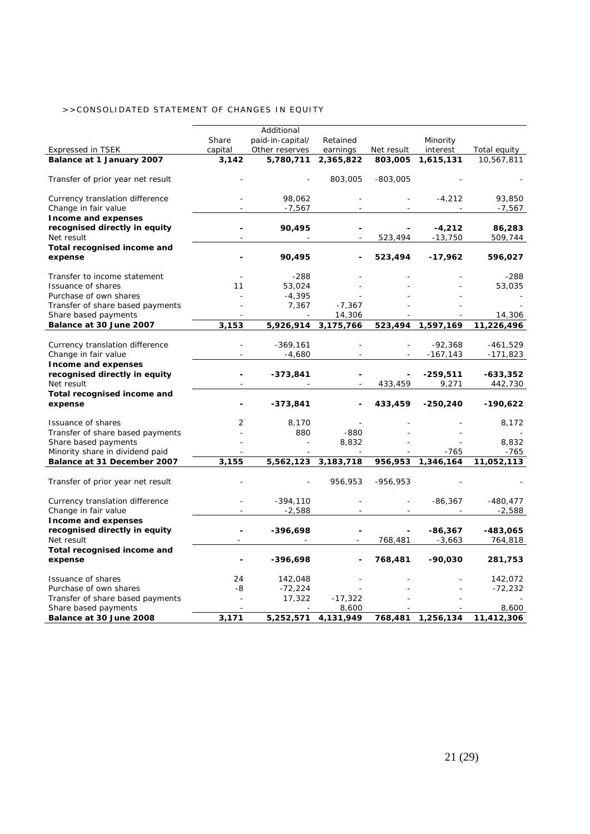# >>CONSOLIDATED STATEMENT OF CHANGES IN EQUITY

|                                                    |         | Additional       |                     |            |            |              |
|----------------------------------------------------|---------|------------------|---------------------|------------|------------|--------------|
|                                                    | Share   | paid-in-capital/ | Retained            |            | Minority   |              |
| <b>Expressed in TSEK</b>                           | capital | Other reserves   | earnings            | Net result | interest   | Total equity |
| Balance at 1 January 2007                          | 3,142   | 5,780,711        | 2,365,822           | 803,005    | 1,615,131  | 10,567,811   |
| Transfer of prior year net result                  |         |                  | 803,005             | $-803,005$ |            |              |
| Currency translation difference                    |         | 98,062           |                     |            | $-4,212$   | 93,850       |
| Change in fair value                               |         | $-7,567$         |                     |            |            | -7,567       |
| Income and expenses                                |         |                  |                     |            |            |              |
| recognised directly in equity                      |         | 90,495           |                     |            | $-4,212$   | 86,283       |
| Net result                                         |         |                  |                     | 523,494    | $-13,750$  | 509,744      |
| Total recognised income and<br>expense             |         | 90,495           |                     | 523,494    | $-17,962$  | 596,027      |
|                                                    |         | $-288$           |                     |            |            | $-288$       |
| Transfer to income statement<br>Issuance of shares | 11      | 53,024           |                     |            |            | 53,035       |
| Purchase of own shares                             |         | $-4,395$         |                     |            |            |              |
| Transfer of share based payments                   |         | 7,367            | $-7,367$            |            |            |              |
| Share based payments                               |         |                  | 14,306              |            |            | 14,306       |
| Balance at 30 June 2007                            | 3,153   | 5,926,914        | 3,175,766           | 523,494    | 1,597,169  | 11,226,496   |
|                                                    |         |                  |                     |            |            |              |
| Currency translation difference                    |         | $-369,161$       |                     |            | $-92,368$  | -461,529     |
| Change in fair value                               |         | $-4,680$         |                     |            | $-167,143$ | $-171,823$   |
| Income and expenses                                |         |                  |                     |            |            |              |
| recognised directly in equity                      |         | $-373,841$       |                     |            | $-259,511$ | -633,352     |
| Net result<br>Total recognised income and          |         |                  |                     | 433,459    | 9,271      | 442,730      |
| expense                                            |         | $-373,841$       |                     | 433,459    | $-250,240$ | $-190,622$   |
| Issuance of shares                                 | 2       | 8,170            |                     |            |            | 8,172        |
| Transfer of share based payments                   |         | 880              | $-880$              |            |            |              |
| Share based payments                               |         |                  | 8,832               |            |            | 8,832        |
| Minority share in dividend paid                    |         |                  |                     |            | $-765$     | $-765$       |
| Balance at 31 December 2007                        | 3,155   |                  | 5,562,123 3,183,718 | 956,953    | 1,346,164  | 11,052,113   |
| Transfer of prior year net result                  |         |                  | 956,953             | $-956,953$ |            |              |
| Currency translation difference                    |         | $-394,110$       |                     |            | $-86,367$  | $-480,477$   |
| Change in fair value                               |         | $-2,588$         |                     |            |            | $-2,588$     |
| Income and expenses                                |         |                  |                     |            |            |              |
| recognised directly in equity                      |         | -396,698         |                     |            | $-86,367$  | -483,065     |
| Net result                                         |         |                  |                     | 768,481    | $-3,663$   | 764,818      |
| Total recognised income and<br>expense             |         | $-396,698$       |                     | 768,481    | $-90,030$  | 281,753      |
| Issuance of shares                                 | 24      | 142,048          |                     |            |            | 142,072      |
| Purchase of own shares                             | -8      | $-72,224$        |                     |            |            | $-72,232$    |
| Transfer of share based payments                   |         | 17,322           | $-17,322$           |            |            |              |
| Share based payments                               |         |                  | 8,600               |            |            | 8,600        |
| Balance at 30 June 2008                            | 3,171   | 5,252,571        | 4,131,949           | 768,481    | 1,256,134  | 11,412,306   |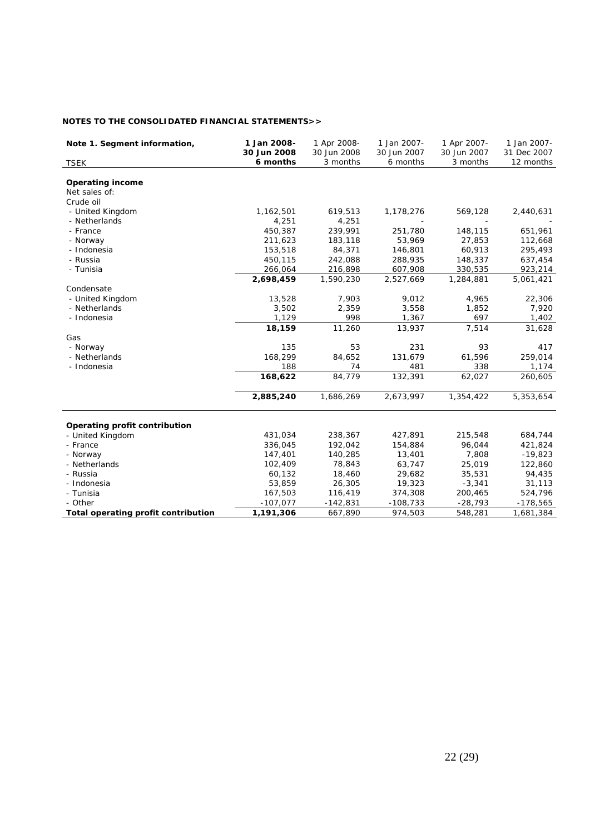# **NOTES TO THE CONSOLIDATED FINANCIAL STATEMENTS>>**

| Note 1. Segment information,        | 1 Jan 2008-<br>30 Jun 2008 | 1 Apr 2008-<br>30 Jun 2008 | 1 Jan 2007-<br>30 Jun 2007 | 1 Apr 2007-<br>30 Jun 2007 | 1 Jan 2007-<br>31 Dec 2007 |
|-------------------------------------|----------------------------|----------------------------|----------------------------|----------------------------|----------------------------|
| <b>TSEK</b>                         | 6 months                   | 3 months                   | 6 months                   | 3 months                   | 12 months                  |
|                                     |                            |                            |                            |                            |                            |
| <b>Operating income</b>             |                            |                            |                            |                            |                            |
| Net sales of:                       |                            |                            |                            |                            |                            |
| Crude oil                           |                            |                            |                            |                            |                            |
| - United Kingdom                    | 1,162,501                  | 619,513                    | 1,178,276                  | 569,128                    | 2,440,631                  |
| - Netherlands                       | 4,251                      | 4,251                      |                            |                            |                            |
| - France                            | 450,387                    | 239,991                    | 251,780                    | 148,115                    | 651,961                    |
| - Norway                            | 211,623                    | 183,118                    | 53,969                     | 27,853                     | 112,668                    |
| - Indonesia                         | 153,518                    | 84,371                     | 146,801                    | 60,913                     | 295,493                    |
| - Russia                            | 450,115                    | 242,088                    | 288,935                    | 148,337                    | 637,454                    |
| - Tunisia                           | 266,064                    | 216,898                    | 607,908                    | 330,535                    | 923,214                    |
|                                     | 2,698,459                  | 1,590,230                  | 2,527,669                  | 1,284,881                  | 5,061,421                  |
| Condensate                          |                            |                            |                            |                            |                            |
| - United Kingdom                    | 13,528                     | 7,903                      | 9,012                      | 4,965                      | 22,306                     |
| - Netherlands                       | 3,502                      | 2,359                      | 3,558                      | 1,852                      | 7,920                      |
| - Indonesia                         | 1,129                      | 998                        | 1,367                      | 697                        | 1,402                      |
|                                     | 18,159                     | 11,260                     | 13,937                     | 7,514                      | 31,628                     |
| Gas                                 |                            |                            |                            |                            |                            |
| - Norway                            | 135                        | 53                         | 231                        | 93                         | 417                        |
| - Netherlands                       | 168,299                    | 84,652                     | 131,679                    | 61,596                     | 259,014                    |
| - Indonesia                         | 188                        | 74                         | 481                        | 338                        | 1,174                      |
|                                     | 168,622                    | 84,779                     | 132,391                    | 62,027                     | 260,605                    |
|                                     | 2,885,240                  | 1,686,269                  | 2,673,997                  | 1,354,422                  | 5,353,654                  |
| Operating profit contribution       |                            |                            |                            |                            |                            |
| - United Kingdom                    | 431,034                    | 238,367                    | 427,891                    | 215,548                    | 684,744                    |
| - France                            | 336,045                    | 192,042                    | 154,884                    | 96,044                     | 421,824                    |
| - Norway                            | 147,401                    | 140,285                    | 13,401                     | 7,808                      | $-19,823$                  |
| - Netherlands                       | 102,409                    | 78,843                     | 63,747                     | 25,019                     | 122,860                    |
| - Russia                            | 60,132                     | 18,460                     | 29,682                     | 35,531                     | 94,435                     |
| - Indonesia                         | 53,859                     |                            |                            |                            |                            |
|                                     |                            | 26,305                     | 19,323                     | $-3,341$                   | 31,113                     |
| - Tunisia                           | 167,503                    | 116,419                    | 374,308                    | 200,465                    | 524,796                    |
| - Other                             | $-107,077$                 | $-142,831$                 | $-108,733$                 | $-28,793$                  | $-178,565$                 |
| Total operating profit contribution | 1,191,306                  | 667,890                    | 974,503                    | 548,281                    | 1,681,384                  |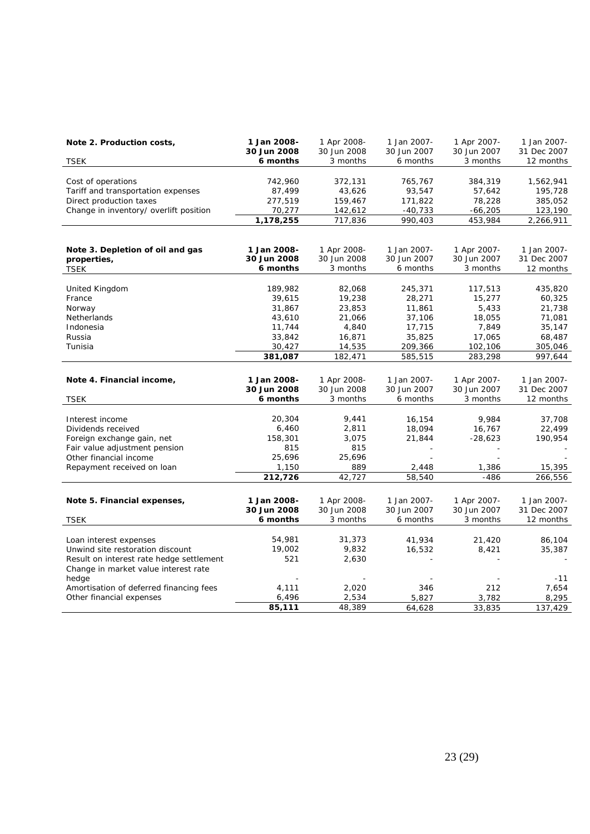| Note 2. Production costs,                | 1 Jan 2008-<br>30 Jun 2008 | 1 Apr 2008-<br>30 Jun 2008 | 1 Jan 2007-<br>30 Jun 2007 | 1 Apr 2007-<br>30 Jun 2007 | 1 Jan 2007-<br>31 Dec 2007 |
|------------------------------------------|----------------------------|----------------------------|----------------------------|----------------------------|----------------------------|
| <b>TSEK</b>                              | 6 months                   | 3 months                   | 6 months                   | 3 months                   | 12 months                  |
|                                          |                            |                            |                            |                            |                            |
| Cost of operations                       | 742,960                    | 372,131                    | 765,767                    | 384,319                    | 1,562,941                  |
| Tariff and transportation expenses       | 87,499                     | 43,626                     | 93,547                     | 57,642                     | 195,728                    |
| Direct production taxes                  | 277,519                    | 159,467                    | 171,822                    | 78,228                     | 385,052                    |
| Change in inventory/ overlift position   | 70,277                     | 142,612                    | $-40,733$                  | $-66,205$                  | 123,190                    |
|                                          | 1,178,255                  | 717,836                    | 990,403                    | 453,984                    | 2,266,911                  |
|                                          |                            |                            |                            |                            |                            |
| Note 3. Depletion of oil and gas         | 1 Jan 2008-                | 1 Apr 2008-                | 1 Jan 2007-                | 1 Apr 2007-                | 1 Jan 2007-                |
| properties,                              | 30 Jun 2008                | 30 Jun 2008                | 30 Jun 2007                | 30 Jun 2007                | 31 Dec 2007                |
| <b>TSEK</b>                              | 6 months                   | 3 months                   | 6 months                   | 3 months                   | 12 months                  |
|                                          |                            |                            |                            |                            |                            |
| United Kingdom                           | 189,982                    | 82,068                     | 245,371                    | 117,513                    | 435,820                    |
| France                                   | 39,615                     | 19,238                     | 28,271                     | 15,277                     | 60,325                     |
| Norway                                   | 31,867                     | 23,853                     | 11,861                     | 5,433                      | 21,738                     |
| Netherlands                              | 43,610                     | 21,066                     | 37,106                     | 18,055                     | 71,081                     |
| Indonesia                                | 11,744                     | 4,840                      | 17,715                     | 7,849                      | 35,147                     |
| Russia                                   | 33,842                     | 16,871                     | 35,825                     | 17,065                     | 68,487                     |
| Tunisia                                  | 30,427                     | 14,535                     | 209,366                    | 102,106                    | 305,046                    |
|                                          | 381,087                    | 182,471                    | 585,515                    | 283,298                    | 997,644                    |
|                                          |                            |                            |                            |                            |                            |
| Note 4. Financial income,                | 1 Jan 2008-                | 1 Apr 2008-                | 1 Jan 2007-                | 1 Apr 2007-                | 1 Jan 2007-                |
|                                          | 30 Jun 2008                | 30 Jun 2008                | 30 Jun 2007                | 30 Jun 2007                | 31 Dec 2007                |
| <b>TSEK</b>                              | 6 months                   | 3 months                   | 6 months                   | 3 months                   | 12 months                  |
|                                          |                            |                            |                            |                            |                            |
| Interest income                          | 20,304                     | 9,441                      | 16,154                     | 9,984                      | 37,708                     |
| Dividends received                       | 6,460                      | 2,811                      | 18,094                     | 16,767                     | 22,499                     |
| Foreign exchange gain, net               | 158,301                    | 3,075                      | 21,844                     | $-28,623$                  | 190,954                    |
| Fair value adjustment pension            | 815                        | 815                        |                            |                            |                            |
| Other financial income                   | 25,696                     | 25,696                     |                            |                            |                            |
| Repayment received on loan               | 1,150                      | 889                        | 2,448                      | 1,386                      | 15,395                     |
|                                          | 212,726                    | 42,727                     | 58,540                     | $-486$                     | 266,556                    |
|                                          |                            |                            |                            |                            |                            |
| Note 5. Financial expenses,              | 1 Jan 2008-                | 1 Apr 2008-                | 1 Jan 2007-                | 1 Apr 2007-                | 1 Jan 2007-                |
|                                          | 30 Jun 2008                | 30 Jun 2008                | 30 Jun 2007                | 30 Jun 2007                | 31 Dec 2007                |
| <b>TSEK</b>                              | 6 months                   | 3 months                   | 6 months                   | 3 months                   | 12 months                  |
|                                          |                            |                            |                            |                            |                            |
| Loan interest expenses                   | 54,981                     | 31,373                     | 41,934                     | 21,420                     | 86,104                     |
| Unwind site restoration discount         | 19,002                     | 9,832                      | 16,532                     | 8,421                      | 35,387                     |
| Result on interest rate hedge settlement | 521                        | 2,630                      |                            |                            |                            |
| Change in market value interest rate     |                            |                            |                            |                            |                            |
| hedge                                    |                            |                            |                            |                            | $-11$                      |
| Amortisation of deferred financing fees  | 4,111                      | 2,020                      | 346                        | 212                        | 7,654                      |
| Other financial expenses                 | 6,496                      | 2,534                      | 5,827                      | 3,782                      | 8,295                      |
|                                          | 85,111                     | 48,389                     | 64,628                     | 33,835                     | 137,429                    |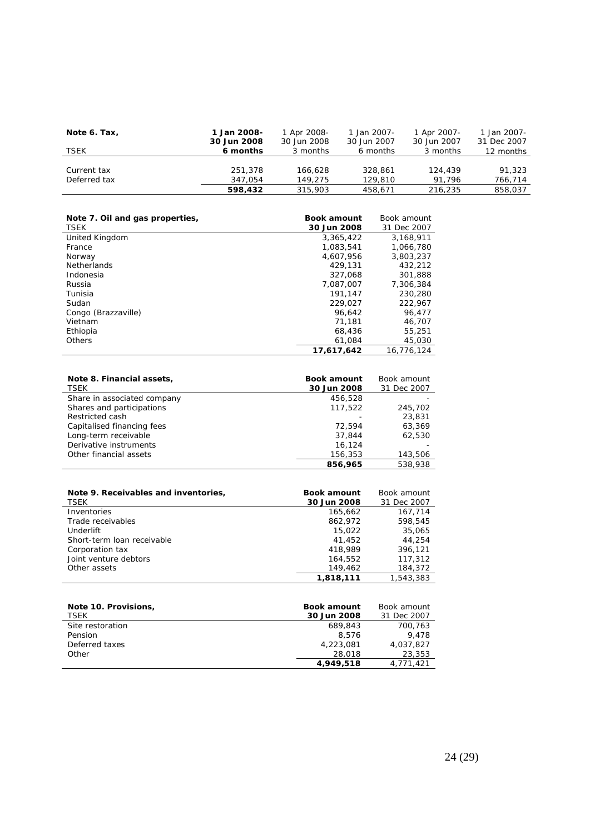| Note 6. Tax, | 1 Jan 2008-<br>30 Jun 2008 | 1 Apr 2008-<br>30 Jun 2008 | 1 Jan 2007-<br>30 Jun 2007 | 1 Apr 2007-<br>30 Jun 2007 | 1 Jan 2007-<br>31 Dec 2007 |
|--------------|----------------------------|----------------------------|----------------------------|----------------------------|----------------------------|
| TSEK         | 6 months                   | 3 months                   | 6 months                   | 3 months                   | 12 months                  |
|              |                            |                            |                            |                            |                            |
| Current tax  | 251,378                    | 166.628                    | 328.861                    | 124,439                    | 91,323                     |
| Deferred tax | 347.054                    | 149.275                    | 129,810                    | 91.796                     | 766,714                    |
|              | 598,432                    | 315,903                    | 458.671                    | 216,235                    | 858,037                    |

| Note 7. Oil and gas properties, | <b>Book amount</b> | Book amount |
|---------------------------------|--------------------|-------------|
| <b>TSEK</b>                     | 30 Jun 2008        | 31 Dec 2007 |
| United Kingdom                  | 3,365,422          | 3,168,911   |
| France                          | 1.083.541          | 1.066.780   |
| Norway                          | 4.607.956          | 3.803.237   |
| <b>Netherlands</b>              | 429.131            | 432,212     |
| Indonesia                       | 327,068            | 301,888     |
| Russia                          | 7.087.007          | 7,306,384   |
| Tunisia                         | 191.147            | 230,280     |
| Sudan                           | 229.027            | 222,967     |
| Congo (Brazzaville)             | 96.642             | 96.477      |
| Vietnam                         | 71.181             | 46,707      |
| Ethiopia                        | 68,436             | 55,251      |
| <b>Others</b>                   | 61.084             | 45,030      |
|                                 | 17.617.642         | 16.776.124  |

| Note 8. Financial assets,<br><b>TSEK</b> | <b>Book amount</b><br>30 Jun 2008 | Book amount<br>31 Dec 2007 |
|------------------------------------------|-----------------------------------|----------------------------|
| Share in associated company              | 456,528                           |                            |
| Shares and participations                | 117.522                           | 245,702                    |
| Restricted cash                          |                                   | 23,831                     |
| Capitalised financing fees               | 72.594                            | 63,369                     |
| Long-term receivable                     | 37.844                            | 62.530                     |
| Derivative instruments                   | 16.124                            |                            |
| Other financial assets                   | 156,353                           | 143,506                    |
|                                          | 856.965                           | 538,938                    |

| Note 9. Receivables and inventories,<br><b>TSEK</b> | <b>Book amount</b><br>30 Jun 2008 | Book amount<br>31 Dec 2007 |
|-----------------------------------------------------|-----------------------------------|----------------------------|
| Inventories                                         | 165.662                           | 167.714                    |
| Trade receivables                                   | 862.972                           | 598.545                    |
| Underlift                                           | 15,022                            | 35,065                     |
| Short-term loan receivable                          | 41.452                            | 44.254                     |
| Corporation tax                                     | 418,989                           | 396,121                    |
| Joint venture debtors                               | 164.552                           | 117,312                    |
| Other assets                                        | 149.462                           | 184,372                    |
|                                                     | 1.818.111                         | 1,543,383                  |

| Note 10. Provisions,<br><b>TSEK</b> | <b>Book amount</b><br>30 Jun 2008 | Book amount<br>31 Dec 2007 |
|-------------------------------------|-----------------------------------|----------------------------|
| Site restoration                    | 689.843                           | 700,763                    |
| Pension                             | 8.576                             | 9.478                      |
| Deferred taxes                      | 4,223,081                         | 4,037,827                  |
| Other                               | 28,018                            | 23,353                     |
|                                     | 4.949.518                         | 4.771.421                  |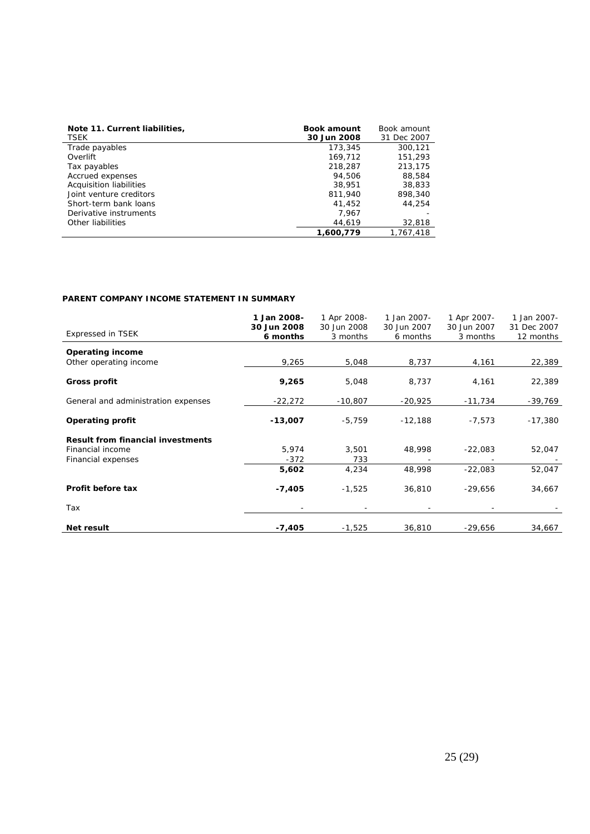| Note 11. Current liabilities, | <b>Book amount</b> | Book amount |
|-------------------------------|--------------------|-------------|
| TSEK                          | 30 Jun 2008        | 31 Dec 2007 |
| Trade payables                | 173,345            | 300,121     |
| Overlift                      | 169,712            | 151,293     |
| Tax payables                  | 218,287            | 213.175     |
| Accrued expenses              | 94.506             | 88,584      |
| Acquisition liabilities       | 38.951             | 38,833      |
| Joint venture creditors       | 811,940            | 898,340     |
| Short-term bank loans         | 41.452             | 44.254      |
| Derivative instruments        | 7.967              |             |
| Other liabilities             | 44,619             | 32,818      |
|                               | 1,600,779          | 1,767,418   |

# **PARENT COMPANY INCOME STATEMENT IN SUMMARY**

| <b>Expressed in TSEK</b>                          | 1 Jan 2008-<br>30 Jun 2008<br>6 months | 1 Apr 2008-<br>30 Jun 2008<br>3 months | 1 Jan 2007-<br>30 Jun 2007<br>6 months | 1 Apr 2007-<br>30 Jun 2007<br>3 months | 1 Jan 2007-<br>31 Dec 2007<br>12 months |
|---------------------------------------------------|----------------------------------------|----------------------------------------|----------------------------------------|----------------------------------------|-----------------------------------------|
| <b>Operating income</b><br>Other operating income | 9,265                                  | 5,048                                  | 8,737                                  | 4,161                                  | 22,389                                  |
| Gross profit                                      | 9,265                                  | 5,048                                  | 8,737                                  | 4,161                                  | 22,389                                  |
| General and administration expenses               | $-22,272$                              | $-10,807$                              | $-20,925$                              | -11,734                                | $-39,769$                               |
| <b>Operating profit</b>                           | $-13,007$                              | $-5,759$                               | $-12,188$                              | $-7,573$                               | $-17,380$                               |
| <b>Result from financial investments</b>          |                                        |                                        |                                        |                                        |                                         |
| Financial income<br>Financial expenses            | 5,974<br>$-372$                        | 3,501<br>733                           | 48,998                                 | $-22,083$                              | 52,047                                  |
|                                                   | 5,602                                  | 4,234                                  | 48,998                                 | $-22,083$                              | 52,047                                  |
| Profit before tax                                 | $-7,405$                               | $-1,525$                               | 36,810                                 | $-29,656$                              | 34,667                                  |
| Tax                                               |                                        |                                        |                                        |                                        |                                         |
| Net result                                        | $-7,405$                               | $-1,525$                               | 36,810                                 | $-29,656$                              | 34,667                                  |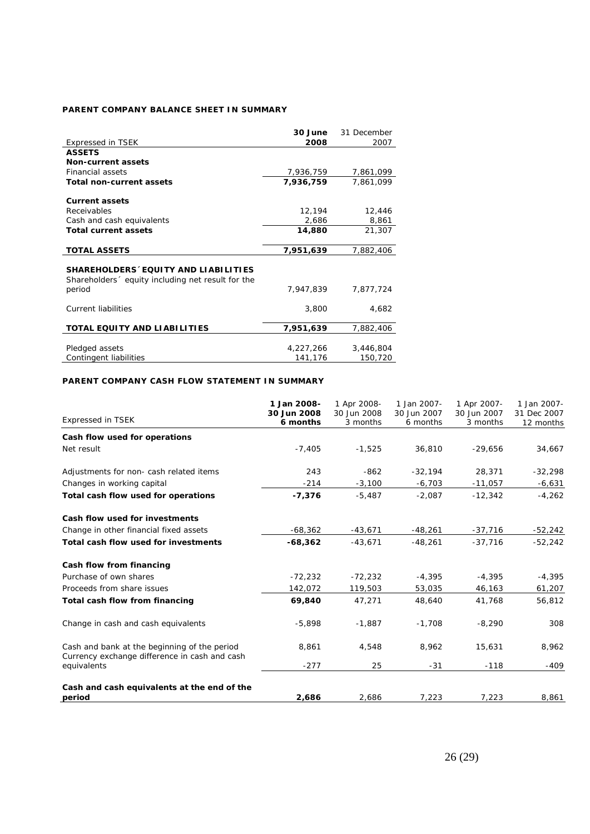# **PARENT COMPANY BALANCE SHEET IN SUMMARY**

|                                                   | 30 June   | 31 December |
|---------------------------------------------------|-----------|-------------|
| <b>Expressed in TSEK</b>                          | 2008      | 2007        |
| <b>ASSETS</b>                                     |           |             |
| <b>Non-current assets</b>                         |           |             |
| Financial assets                                  | 7,936,759 | 7,861,099   |
| <b>Total non-current assets</b>                   | 7,936,759 | 7,861,099   |
|                                                   |           |             |
| <b>Current assets</b>                             |           |             |
| <b>Receivables</b>                                | 12,194    | 12,446      |
| Cash and cash equivalents                         | 2,686     | 8,861       |
| <b>Total current assets</b>                       | 14,880    | 21,307      |
|                                                   |           |             |
| <b>TOTAL ASSETS</b>                               | 7,951,639 | 7,882,406   |
|                                                   |           |             |
| SHAREHOLDERS EQUITY AND LIABILITIES               |           |             |
| Shareholders  equity including net result for the |           |             |
| period                                            | 7,947,839 | 7,877,724   |
|                                                   |           |             |
| <b>Current liabilities</b>                        | 3,800     | 4,682       |
|                                                   |           |             |
| <b>TOTAL EQUITY AND LIABILITIES</b>               | 7,951,639 | 7,882,406   |
|                                                   |           |             |
| Pledged assets                                    | 4,227,266 | 3,446,804   |
| Contingent liabilities                            | 141,176   | 150,720     |

# **PARENT COMPANY CASH FLOW STATEMENT IN SUMMARY**

| <b>Expressed in TSEK</b>                                                                      | 1 Jan 2008-<br>30 Jun 2008<br>6 months | 1 Apr 2008-<br>30 Jun 2008<br>3 months | 1 Jan 2007-<br>30 Jun 2007<br>6 months | 1 Apr 2007-<br>30 Jun 2007<br>3 months | 1 Jan 2007-<br>31 Dec 2007<br>12 months |
|-----------------------------------------------------------------------------------------------|----------------------------------------|----------------------------------------|----------------------------------------|----------------------------------------|-----------------------------------------|
| Cash flow used for operations                                                                 |                                        |                                        |                                        |                                        |                                         |
| Net result                                                                                    | $-7,405$                               | $-1,525$                               | 36,810                                 | $-29,656$                              | 34,667                                  |
| Adjustments for non- cash related items                                                       | 243                                    | $-862$                                 | $-32,194$                              | 28,371                                 | $-32,298$                               |
| Changes in working capital                                                                    | $-214$                                 | $-3,100$                               | $-6,703$                               | $-11,057$                              | $-6,631$                                |
| Total cash flow used for operations                                                           | $-7,376$                               | $-5,487$                               | $-2,087$                               | $-12,342$                              | $-4,262$                                |
| Cash flow used for investments                                                                |                                        |                                        |                                        |                                        |                                         |
| Change in other financial fixed assets                                                        | $-68,362$                              | $-43,671$                              | $-48,261$                              | $-37,716$                              | $-52,242$                               |
| Total cash flow used for investments                                                          | $-68,362$                              | $-43.671$                              | $-48,261$                              | $-37.716$                              | $-52.242$                               |
| Cash flow from financing                                                                      |                                        |                                        |                                        |                                        |                                         |
| Purchase of own shares                                                                        | $-72,232$                              | $-72,232$                              | $-4,395$                               | $-4,395$                               | $-4,395$                                |
| Proceeds from share issues                                                                    | 142,072                                | 119,503                                | 53,035                                 | 46,163                                 | 61,207                                  |
| Total cash flow from financing                                                                | 69,840                                 | 47,271                                 | 48,640                                 | 41,768                                 | 56,812                                  |
| Change in cash and cash equivalents                                                           | $-5,898$                               | $-1,887$                               | $-1,708$                               | $-8,290$                               | 308                                     |
| Cash and bank at the beginning of the period<br>Currency exchange difference in cash and cash | 8,861                                  | 4,548                                  | 8,962                                  | 15,631                                 | 8,962                                   |
| equivalents                                                                                   | $-277$                                 | 25                                     | $-31$                                  | $-118$                                 | $-409$                                  |
| Cash and cash equivalents at the end of the                                                   |                                        |                                        |                                        |                                        |                                         |
| period                                                                                        | 2,686                                  | 2,686                                  | 7.223                                  | 7.223                                  | 8,861                                   |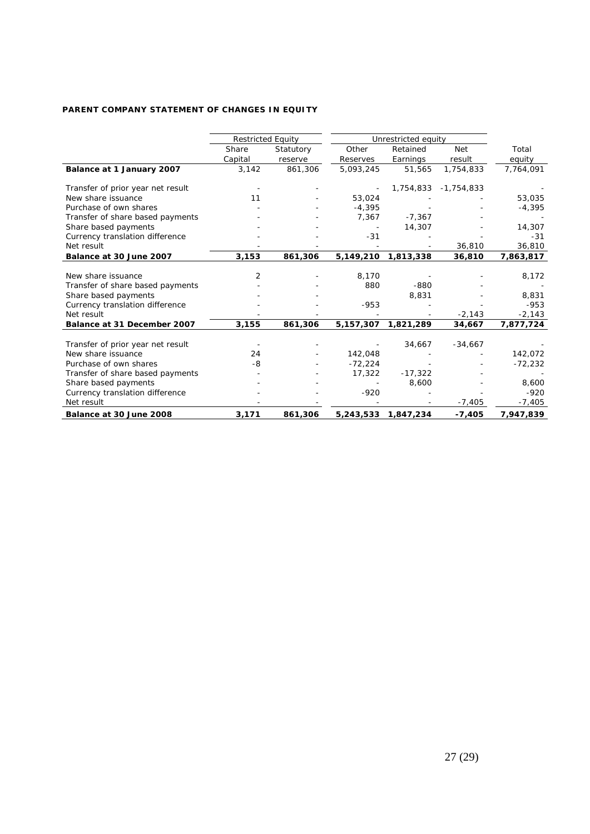# **PARENT COMPANY STATEMENT OF CHANGES IN EQUITY**

|                                   | <b>Restricted Equity</b> |           | Unrestricted equity |                     |              |           |
|-----------------------------------|--------------------------|-----------|---------------------|---------------------|--------------|-----------|
|                                   | Share                    | Statutory | Other               | Retained            | <b>Net</b>   | Total     |
|                                   | Capital                  | reserve   | Reserves            | Earnings            | result       | equity    |
| Balance at 1 January 2007         | 3,142                    | 861,306   | 5,093,245           | 51,565              | 1,754,833    | 7,764,091 |
| Transfer of prior year net result |                          |           |                     | 1,754,833           | $-1,754,833$ |           |
| New share issuance                | 11                       |           | 53,024              |                     |              | 53,035    |
| Purchase of own shares            |                          |           | $-4,395$            |                     |              | $-4,395$  |
| Transfer of share based payments  |                          |           | 7,367               | $-7,367$            |              |           |
| Share based payments              |                          |           |                     | 14,307              |              | 14,307    |
| Currency translation difference   |                          |           | $-31$               |                     |              | $-31$     |
| Net result                        |                          |           |                     |                     | 36,810       | 36,810    |
| Balance at 30 June 2007           | 3,153                    | 861,306   | 5,149,210           | 1,813,338           | 36,810       | 7,863,817 |
|                                   |                          |           |                     |                     |              |           |
| New share issuance                | 2                        |           | 8,170               |                     |              | 8,172     |
| Transfer of share based payments  |                          |           | 880                 | $-880$              |              |           |
| Share based payments              |                          |           |                     | 8,831               |              | 8,831     |
| Currency translation difference   |                          |           | $-953$              |                     |              | $-953$    |
| Net result                        |                          |           |                     |                     | $-2,143$     | $-2,143$  |
| Balance at 31 December 2007       | 3,155                    | 861,306   | 5, 157, 307         | 1,821,289           | 34,667       | 7,877,724 |
| Transfer of prior year net result |                          |           |                     | 34,667              | $-34,667$    |           |
| New share issuance                | 24                       |           | 142,048             |                     |              | 142,072   |
| Purchase of own shares            | -8                       |           | $-72,224$           |                     |              | $-72,232$ |
| Transfer of share based payments  |                          |           | 17,322              | $-17,322$           |              |           |
| Share based payments              |                          |           |                     | 8,600               |              | 8,600     |
| Currency translation difference   |                          |           | $-920$              |                     |              | $-920$    |
| Net result                        |                          |           |                     |                     | $-7,405$     | $-7,405$  |
| Balance at 30 June 2008           | 3,171                    | 861,306   |                     | 5,243,533 1,847,234 | $-7,405$     | 7,947,839 |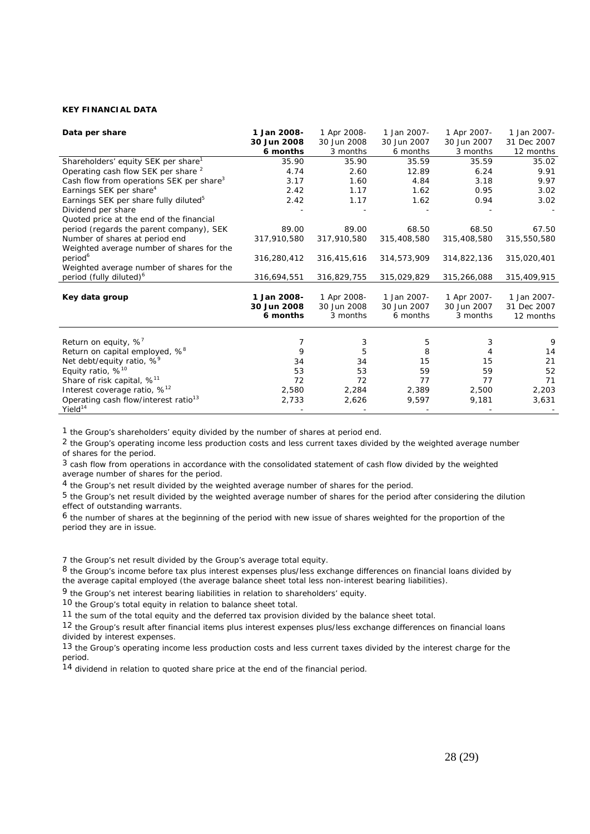# **KEY FINANCIAL DATA**

| 1 Jan 2008- | 1 Apr 2008-                                | 1 Jan 2007-                                | 1 Apr 2007-                                | 1 Jan 2007-                                |
|-------------|--------------------------------------------|--------------------------------------------|--------------------------------------------|--------------------------------------------|
| 30 Jun 2008 | 30 Jun 2008                                | 30 Jun 2007                                | 30 Jun 2007                                | 31 Dec 2007                                |
| 6 months    | 3 months                                   | 6 months                                   | 3 months                                   | 12 months                                  |
| 35.90       | 35.90                                      | 35.59                                      | 35.59                                      | 35.02                                      |
| 4.74        | 2.60                                       | 12.89                                      | 6.24                                       | 9.91                                       |
| 3.17        | 1.60                                       | 4.84                                       | 3.18                                       | 9.97                                       |
| 2.42        | 1.17                                       | 1.62                                       | 0.95                                       | 3.02                                       |
| 2.42        | 1.17                                       | 1.62                                       | 0.94                                       | 3.02                                       |
|             |                                            |                                            |                                            |                                            |
|             |                                            |                                            |                                            |                                            |
| 89.00       | 89.00                                      | 68.50                                      | 68.50                                      | 67.50                                      |
| 317,910,580 | 317,910,580                                | 315,408,580                                | 315,408,580                                | 315,550,580                                |
|             |                                            |                                            |                                            |                                            |
| 316,280,412 | 316,415,616                                | 314,573,909                                | 314,822,136                                | 315,020,401                                |
|             |                                            |                                            |                                            |                                            |
| 316,694,551 | 316,829,755                                | 315,029,829                                | 315,266,088                                | 315,409,915                                |
|             |                                            |                                            |                                            |                                            |
| 1 Jan 2008- | 1 Apr 2008-                                | 1 Jan 2007-                                | 1 Apr 2007-                                | 1 Jan 2007-                                |
| 30 Jun 2008 | 30 Jun 2008                                | 30 Jun 2007                                | 30 Jun 2007                                | 31 Dec 2007                                |
| 6 months    | 3 months                                   | 6 months                                   | 3 months                                   | 12 months                                  |
|             |                                            |                                            |                                            |                                            |
|             |                                            |                                            |                                            | 9                                          |
|             |                                            |                                            |                                            | 14                                         |
|             |                                            |                                            |                                            | 21                                         |
|             |                                            |                                            |                                            | 52                                         |
|             |                                            |                                            |                                            | 71                                         |
|             |                                            |                                            |                                            | 2,203                                      |
|             |                                            |                                            |                                            | 3,631                                      |
|             |                                            |                                            |                                            |                                            |
|             | 7<br>9<br>34<br>53<br>72<br>2,580<br>2,733 | 3<br>5<br>34<br>53<br>72<br>2,284<br>2,626 | 5<br>8<br>15<br>59<br>77<br>2,389<br>9,597 | 3<br>4<br>15<br>59<br>77<br>2,500<br>9,181 |

1 the Group's shareholders' equity divided by the number of shares at period end.

2 the Group's operating income less production costs and less current taxes divided by the weighted average number of shares for the period.

3 cash flow from operations in accordance with the consolidated statement of cash flow divided by the weighted average number of shares for the period.

4 the Group's net result divided by the weighted average number of shares for the period.

5 the Group's net result divided by the weighted average number of shares for the period after considering the dilution effect of outstanding warrants.

6 the number of shares at the beginning of the period with new issue of shares weighted for the proportion of the period they are in issue.

7 the Group's net result divided by the Group's average total equity.

8 the Group's income before tax plus interest expenses plus/less exchange differences on financial loans divided by the average capital employed (the average balance sheet total less non-interest bearing liabilities).

9 the Group's net interest bearing liabilities in relation to shareholders' equity.

10 the Group's total equity in relation to balance sheet total.

11 the sum of the total equity and the deferred tax provision divided by the balance sheet total.

12 the Group's result after financial items plus interest expenses plus/less exchange differences on financial loans divided by interest expenses.

13 the Group's operating income less production costs and less current taxes divided by the interest charge for the period.

 $14$  dividend in relation to quoted share price at the end of the financial period.